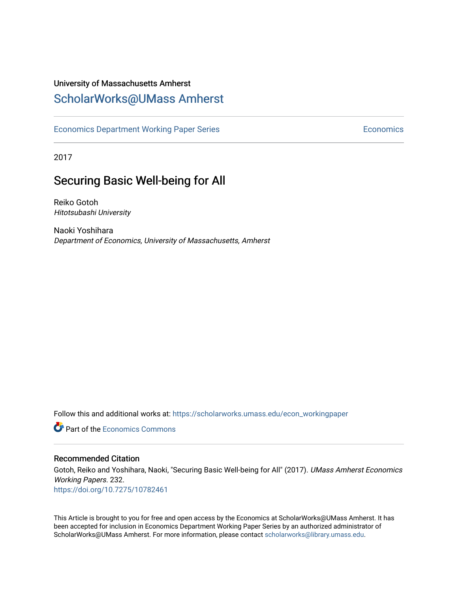# University of Massachusetts Amherst [ScholarWorks@UMass Amherst](https://scholarworks.umass.edu/)

[Economics Department Working Paper Series](https://scholarworks.umass.edu/econ_workingpaper) **Economics** Economics

2017

# Securing Basic Well-being for All

Reiko Gotoh Hitotsubashi University

Naoki Yoshihara Department of Economics, University of Massachusetts, Amherst

Follow this and additional works at: [https://scholarworks.umass.edu/econ\\_workingpaper](https://scholarworks.umass.edu/econ_workingpaper?utm_source=scholarworks.umass.edu%2Fecon_workingpaper%2F232&utm_medium=PDF&utm_campaign=PDFCoverPages) 

**C** Part of the [Economics Commons](http://network.bepress.com/hgg/discipline/340?utm_source=scholarworks.umass.edu%2Fecon_workingpaper%2F232&utm_medium=PDF&utm_campaign=PDFCoverPages)

#### Recommended Citation

Gotoh, Reiko and Yoshihara, Naoki, "Securing Basic Well-being for All" (2017). UMass Amherst Economics Working Papers. 232. <https://doi.org/10.7275/10782461>

This Article is brought to you for free and open access by the Economics at ScholarWorks@UMass Amherst. It has been accepted for inclusion in Economics Department Working Paper Series by an authorized administrator of ScholarWorks@UMass Amherst. For more information, please contact [scholarworks@library.umass.edu.](mailto:scholarworks@library.umass.edu)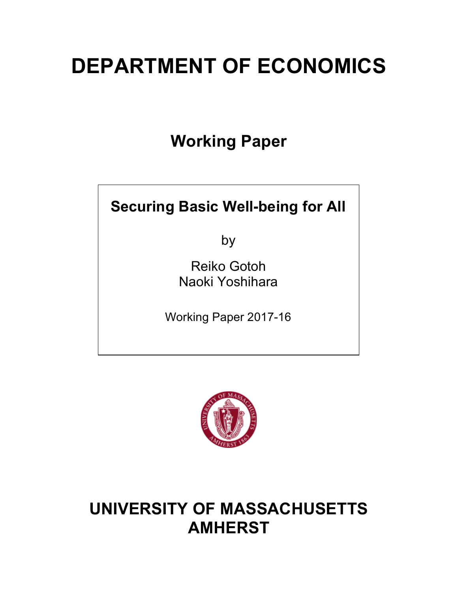# **DEPARTMENT OF ECONOMICS**

**Working Paper**

# **Securing Basic Well-being for All**

by

Reiko Gotoh Naoki Yoshihara

Working Paper 2017-16



# **UNIVERSITY OF MASSACHUSETTS AMHERST**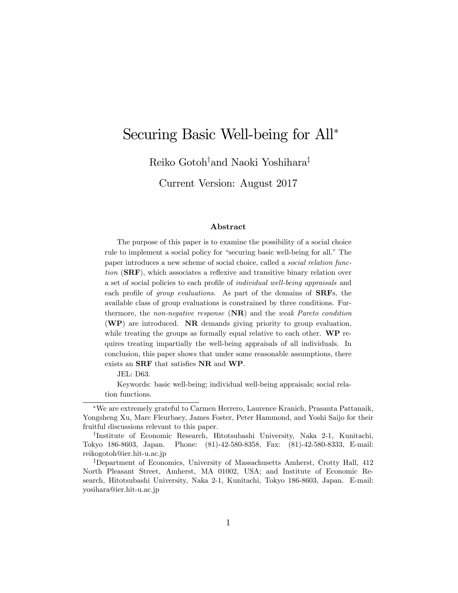# Securing Basic Well-being for All\*

 $Reiko Gotoh<sup>†</sup>and Naoki Yoshihara<sup>‡</sup>$ 

Current Version: August 2017

#### Abstract

The purpose of this paper is to examine the possibility of a social choice rule to implement a social policy for "securing basic well-being for all." The paper introduces a new scheme of social choice, called a social relation function  $(SRF)$ , which associates a reflexive and transitive binary relation over a set of social policies to each profile of *individual well-being appraisals* and each profile of *group evaluations*. As part of the domains of **SRF**s, the available class of group evaluations is constrained by three conditions. Furthermore, the *non-negative response*  $(NR)$  and the *weak Pareto condition* (WP) are introduced. NR demands giving priority to group evaluation, while treating the groups as formally equal relative to each other. WP requires treating impartially the well-being appraisals of all individuals. In conclusion, this paper shows that under some reasonable assumptions, there exists an SRF that satisfies NR and WP.

JEL: D63.

Keywords: basic well-being; individual well-being appraisals; social relation functions.

<sup>!</sup>We are extremely grateful to Carmen Herrero, Laurence Kranich, Prasanta Pattanaik, Yongsheng Xu, Marc Fleurbaey, James Foster, Peter Hammond, and Yoshi Saijo for their fruitful discussions relevant to this paper.

<sup>y</sup>Institute of Economic Research, Hitotsubashi University, Naka 2-1, Kunitachi, Tokyo 186-8603, Japan. Phone: (81)-42-580-8358, Fax: (81)-42-580-8333, E-mail: reikogotoh@ier.hit-u.ac.jp

<sup>&</sup>lt;sup>‡</sup>Department of Economics, University of Massachusetts Amherst, Crotty Hall, 412 North Pleasant Street, Amherst, MA 01002, USA; and Institute of Economic Research, Hitotsubashi University, Naka 2-1, Kunitachi, Tokyo 186-8603, Japan. E-mail: yosihara@ier.hit-u.ac.jp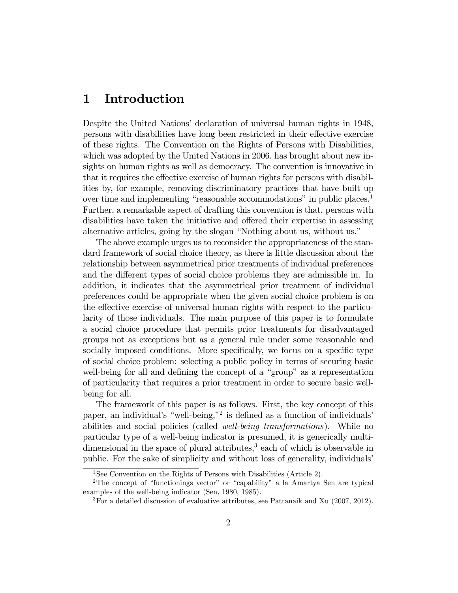### 1 Introduction

Despite the United Nations' declaration of universal human rights in 1948, persons with disabilities have long been restricted in their effective exercise of these rights. The Convention on the Rights of Persons with Disabilities, which was adopted by the United Nations in 2006, has brought about new insights on human rights as well as democracy. The convention is innovative in that it requires the effective exercise of human rights for persons with disabilities by, for example, removing discriminatory practices that have built up over time and implementing "reasonable accommodations" in public places.<sup>1</sup> Further, a remarkable aspect of drafting this convention is that, persons with disabilities have taken the initiative and offered their expertise in assessing alternative articles, going by the slogan "Nothing about us, without us."

The above example urges us to reconsider the appropriateness of the standard framework of social choice theory, as there is little discussion about the relationship between asymmetrical prior treatments of individual preferences and the different types of social choice problems they are admissible in. In addition, it indicates that the asymmetrical prior treatment of individual preferences could be appropriate when the given social choice problem is on the effective exercise of universal human rights with respect to the particularity of those individuals. The main purpose of this paper is to formulate a social choice procedure that permits prior treatments for disadvantaged groups not as exceptions but as a general rule under some reasonable and socially imposed conditions. More specifically, we focus on a specific type of social choice problem: selecting a public policy in terms of securing basic well-being for all and defining the concept of a "group" as a representation of particularity that requires a prior treatment in order to secure basic wellbeing for all.

The framework of this paper is as follows. First, the key concept of this paper, an individual's "well-being,"<sup>2</sup> is defined as a function of individuals' abilities and social policies (called well-being transformations). While no particular type of a well-being indicator is presumed, it is generically multidimensional in the space of plural attributes,<sup>3</sup> each of which is observable in public. For the sake of simplicity and without loss of generality, individuals'

<sup>&</sup>lt;sup>1</sup>See Convention on the Rights of Persons with Disabilities (Article 2).

<sup>&</sup>lt;sup>2</sup>The concept of "functionings vector" or "capability" a la Amartya Sen are typical examples of the well-being indicator (Sen, 1980, 1985).

<sup>3</sup>For a detailed discussion of evaluative attributes, see Pattanaik and Xu (2007, 2012).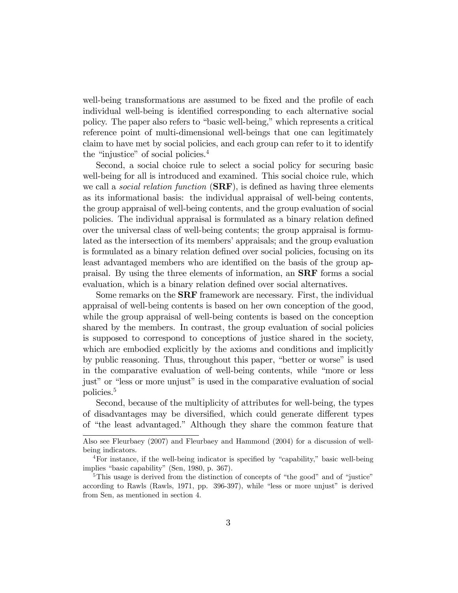well-being transformations are assumed to be fixed and the profile of each individual well-being is identified corresponding to each alternative social policy. The paper also refers to "basic well-being," which represents a critical reference point of multi-dimensional well-beings that one can legitimately claim to have met by social policies, and each group can refer to it to identify the "injustice" of social policies. $4$ 

Second, a social choice rule to select a social policy for securing basic well-being for all is introduced and examined. This social choice rule, which we call a *social relation function*  $(SRF)$ , is defined as having three elements as its informational basis: the individual appraisal of well-being contents, the group appraisal of well-being contents, and the group evaluation of social policies. The individual appraisal is formulated as a binary relation defined over the universal class of well-being contents; the group appraisal is formulated as the intersection of its members' appraisals; and the group evaluation is formulated as a binary relation defined over social policies, focusing on its least advantaged members who are identified on the basis of the group appraisal. By using the three elements of information, an SRF forms a social evaluation, which is a binary relation defined over social alternatives.

Some remarks on the **SRF** framework are necessary. First, the individual appraisal of well-being contents is based on her own conception of the good, while the group appraisal of well-being contents is based on the conception shared by the members. In contrast, the group evaluation of social policies is supposed to correspond to conceptions of justice shared in the society, which are embodied explicitly by the axioms and conditions and implicitly by public reasoning. Thus, throughout this paper, "better or worse" is used in the comparative evaluation of well-being contents, while "more or less just" or "less or more unjust" is used in the comparative evaluation of social policies.5

Second, because of the multiplicity of attributes for well-being, the types of disadvantages may be diversified, which could generate different types of "the least advantaged." Although they share the common feature that

Also see Fleurbaey (2007) and Fleurbaey and Hammond (2004) for a discussion of wellbeing indicators.

<sup>&</sup>lt;sup>4</sup>For instance, if the well-being indicator is specified by "capability," basic well-being implies "basic capability" (Sen, 1980, p. 367).

 $5$ This usage is derived from the distinction of concepts of "the good" and of "justice" according to Rawls (Rawls, 1971, pp.  $396-397$ ), while "less or more unjust" is derived from Sen, as mentioned in section 4.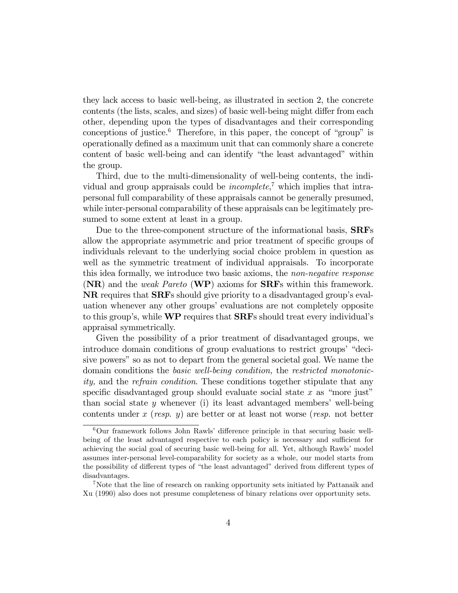they lack access to basic well-being, as illustrated in section 2, the concrete contents (the lists, scales, and sizes) of basic well-being might differ from each other, depending upon the types of disadvantages and their corresponding conceptions of justice.<sup>6</sup> Therefore, in this paper, the concept of "group" is operationally defined as a maximum unit that can commonly share a concrete content of basic well-being and can identify "the least advantaged" within the group.

Third, due to the multi-dimensionality of well-being contents, the individual and group appraisals could be *incomplete*,<sup>7</sup> which implies that intrapersonal full comparability of these appraisals cannot be generally presumed, while inter-personal comparability of these appraisals can be legitimately presumed to some extent at least in a group.

Due to the three-component structure of the informational basis, **SRFs** allow the appropriate asymmetric and prior treatment of specific groups of individuals relevant to the underlying social choice problem in question as well as the symmetric treatment of individual appraisals. To incorporate this idea formally, we introduce two basic axioms, the non-negative response (NR) and the weak Pareto (WP) axioms for SRFs within this framework. **NR** requires that **SRF**s should give priority to a disadvantaged group's evaluation whenever any other groups' evaluations are not completely opposite to this group's, while  $\bf{WP}$  requires that  $\bf{SRFs}$  should treat every individual's appraisal symmetrically.

Given the possibility of a prior treatment of disadvantaged groups, we introduce domain conditions of group evaluations to restrict groups' "decisive powersî so as not to depart from the general societal goal. We name the domain conditions the basic well-being condition, the restricted monotonicity, and the refrain condition. These conditions together stipulate that any specific disadvantaged group should evaluate social state  $x$  as "more just" than social state y whenever (i) its least advantaged members' well-being contents under x (resp. y) are better or at least not worse (resp. not better

 $6$ Our framework follows John Rawls' difference principle in that securing basic wellbeing of the least advantaged respective to each policy is necessary and sufficient for achieving the social goal of securing basic well-being for all. Yet, although Rawlsí model assumes inter-personal level-comparability for society as a whole, our model starts from the possibility of different types of "the least advantaged" derived from different types of disadvantages.

<sup>7</sup>Note that the line of research on ranking opportunity sets initiated by Pattanaik and Xu (1990) also does not presume completeness of binary relations over opportunity sets.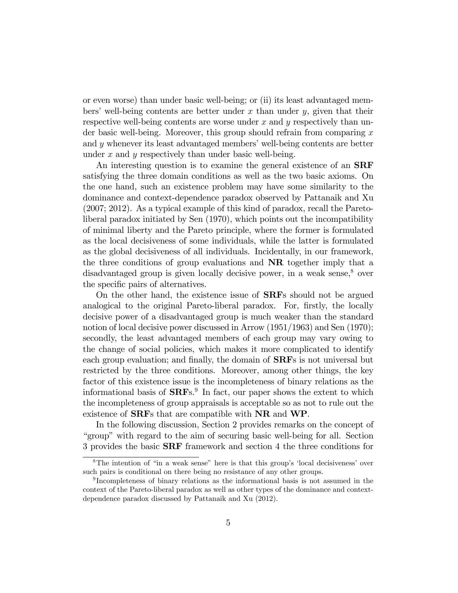or even worse) than under basic well-being; or (ii) its least advantaged members' well-being contents are better under x than under  $y$ , given that their respective well-being contents are worse under x and y respectively than under basic well-being. Moreover, this group should refrain from comparing  $x$ and  $y$  whenever its least advantaged members' well-being contents are better under  $x$  and  $y$  respectively than under basic well-being.

An interesting question is to examine the general existence of an **SRF** satisfying the three domain conditions as well as the two basic axioms. On the one hand, such an existence problem may have some similarity to the dominance and context-dependence paradox observed by Pattanaik and Xu (2007; 2012). As a typical example of this kind of paradox, recall the Paretoliberal paradox initiated by Sen (1970), which points out the incompatibility of minimal liberty and the Pareto principle, where the former is formulated as the local decisiveness of some individuals, while the latter is formulated as the global decisiveness of all individuals. Incidentally, in our framework, the three conditions of group evaluations and NR together imply that a disadvantaged group is given locally decisive power, in a weak sense, $8$  over the specific pairs of alternatives.

On the other hand, the existence issue of SRFs should not be argued analogical to the original Pareto-liberal paradox. For, firstly, the locally decisive power of a disadvantaged group is much weaker than the standard notion of local decisive power discussed in Arrow (1951/1963) and Sen (1970); secondly, the least advantaged members of each group may vary owing to the change of social policies, which makes it more complicated to identify each group evaluation; and finally, the domain of  $SRFs$  is not universal but restricted by the three conditions. Moreover, among other things, the key factor of this existence issue is the incompleteness of binary relations as the informational basis of  $\text{SRFs}^9$ . In fact, our paper shows the extent to which the incompleteness of group appraisals is acceptable so as not to rule out the existence of **SRF**s that are compatible with **NR** and **WP**.

In the following discussion, Section 2 provides remarks on the concept of ìgroupî with regard to the aim of securing basic well-being for all. Section 3 provides the basic SRF framework and section 4 the three conditions for

 $8$ The intention of "in a weak sense" here is that this group's 'local decisiveness' over such pairs is conditional on there being no resistance of any other groups.

<sup>&</sup>lt;sup>9</sup> Incompleteness of binary relations as the informational basis is not assumed in the context of the Pareto-liberal paradox as well as other types of the dominance and contextdependence paradox discussed by Pattanaik and Xu (2012).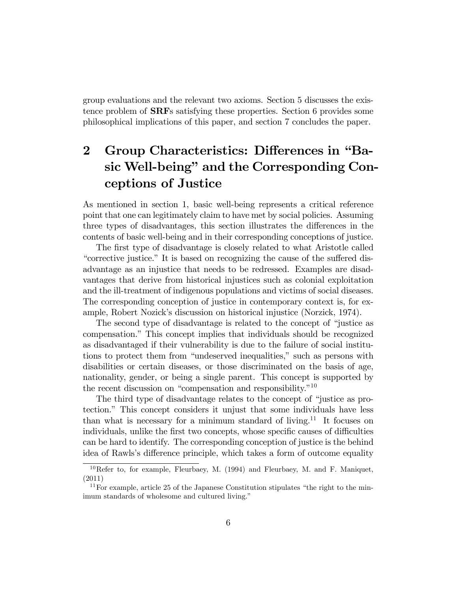group evaluations and the relevant two axioms. Section 5 discusses the existence problem of SRFs satisfying these properties. Section 6 provides some philosophical implications of this paper, and section 7 concludes the paper.

# 2 Group Characteristics: Differences in "Basic Well-being" and the Corresponding Conceptions of Justice

As mentioned in section 1, basic well-being represents a critical reference point that one can legitimately claim to have met by social policies. Assuming three types of disadvantages, this section illustrates the differences in the contents of basic well-being and in their corresponding conceptions of justice.

The first type of disadvantage is closely related to what Aristotle called "corrective justice." It is based on recognizing the cause of the suffered disadvantage as an injustice that needs to be redressed. Examples are disadvantages that derive from historical injustices such as colonial exploitation and the ill-treatment of indigenous populations and victims of social diseases. The corresponding conception of justice in contemporary context is, for example, Robert Nozick's discussion on historical injustice (Norzick, 1974).

The second type of disadvantage is related to the concept of "justice as compensation.î This concept implies that individuals should be recognized as disadvantaged if their vulnerability is due to the failure of social institutions to protect them from "undeserved inequalities," such as persons with disabilities or certain diseases, or those discriminated on the basis of age, nationality, gender, or being a single parent. This concept is supported by the recent discussion on "compensation and responsibility."<sup>10</sup>

The third type of disadvantage relates to the concept of "justice as protection.î This concept considers it unjust that some individuals have less than what is necessary for a minimum standard of living.<sup>11</sup> It focuses on individuals, unlike the first two concepts, whose specific causes of difficulties can be hard to identify. The corresponding conception of justice is the behind idea of Rawls's difference principle, which takes a form of outcome equality

<sup>10</sup>Refer to, for example, Fleurbaey, M. (1994) and Fleurbaey, M. and F. Maniquet, (2011)

 $11$  For example, article 25 of the Japanese Constitution stipulates "the right to the minimum standards of wholesome and cultured living."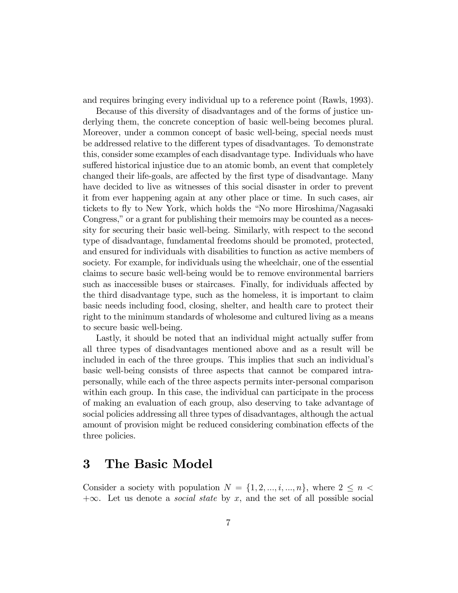and requires bringing every individual up to a reference point (Rawls, 1993).

Because of this diversity of disadvantages and of the forms of justice underlying them, the concrete conception of basic well-being becomes plural. Moreover, under a common concept of basic well-being, special needs must be addressed relative to the different types of disadvantages. To demonstrate this, consider some examples of each disadvantage type. Individuals who have suffered historical injustice due to an atomic bomb, an event that completely changed their life-goals, are affected by the first type of disadvantage. Many have decided to live as witnesses of this social disaster in order to prevent it from ever happening again at any other place or time. In such cases, air tickets to fly to New York, which holds the "No more Hiroshima/Nagasaki Congress," or a grant for publishing their memoirs may be counted as a necessity for securing their basic well-being. Similarly, with respect to the second type of disadvantage, fundamental freedoms should be promoted, protected, and ensured for individuals with disabilities to function as active members of society. For example, for individuals using the wheelchair, one of the essential claims to secure basic well-being would be to remove environmental barriers such as inaccessible buses or staircases. Finally, for individuals affected by the third disadvantage type, such as the homeless, it is important to claim basic needs including food, closing, shelter, and health care to protect their right to the minimum standards of wholesome and cultured living as a means to secure basic well-being.

Lastly, it should be noted that an individual might actually suffer from all three types of disadvantages mentioned above and as a result will be included in each of the three groups. This implies that such an individualís basic well-being consists of three aspects that cannot be compared intrapersonally, while each of the three aspects permits inter-personal comparison within each group. In this case, the individual can participate in the process of making an evaluation of each group, also deserving to take advantage of social policies addressing all three types of disadvantages, although the actual amount of provision might be reduced considering combination effects of the three policies.

## 3 The Basic Model

Consider a society with population  $N = \{1, 2, ..., i, ..., n\}$ , where  $2 \leq n <$  $+\infty$ . Let us denote a *social state* by x, and the set of all possible social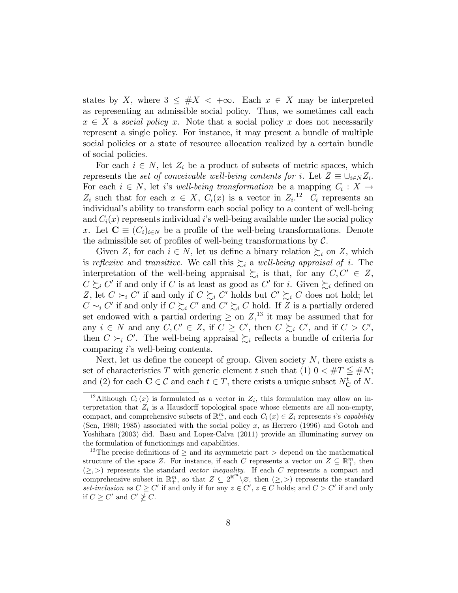states by X, where  $3 \leq #X < +\infty$ . Each  $x \in X$  may be interpreted as representing an admissible social policy. Thus, we sometimes call each  $x \in X$  a social policy x. Note that a social policy x does not necessarily represent a single policy. For instance, it may present a bundle of multiple social policies or a state of resource allocation realized by a certain bundle of social policies.

For each  $i \in N$ , let  $Z_i$  be a product of subsets of metric spaces, which represents the set of conceivable well-being contents for i. Let  $Z \equiv \bigcup_{i\in N} Z_i$ . For each  $i \in N$ , let i's well-being transformation be a mapping  $C_i : X \rightarrow$  $Z_i$  such that for each  $x \in X$ ,  $C_i(x)$  is a vector in  $Z_i$ .<sup>12</sup>  $C_i$  represents an individual's ability to transform each social policy to a content of well-being and  $C_i(x)$  represents individual i's well-being available under the social policy x. Let  $\mathbf{C} \equiv (C_i)_{i \in N}$  be a profile of the well-being transformations. Denote the admissible set of profiles of well-being transformations by  $\mathcal{C}$ .

Given Z, for each  $i \in N$ , let us define a binary relation  $\succsim_i$  on Z, which is reflexive and transitive. We call this  $\sum_i$  a well-being appraisal of i. The interpretation of the well-being appraisal  $\succsim_i$  is that, for any  $C, C' \in \mathbb{Z}$ ,  $C \succsim_i C'$  if and only if C is at least as good as C' for i. Given  $\succsim_i$  defined on Z, let  $C \succ_i C'$  if and only if  $C \succsim_i C'$  holds but  $C' \succsim_i C$  does not hold; let  $C \sim_i C'$  if and only if  $C \succsim_i C'$  and  $C' \succsim_i C$  hold. If Z is a partially ordered set endowed with a partial ordering  $\geq$  on  $Z<sup>{13}</sup>$ , it may be assumed that for any  $i \in N$  and any  $C, C' \in Z$ , if  $C \geq C'$ , then  $C \succsim_{i} C'$ , and if  $C > C'$ , then  $C \succ_i C'$ . The well-being appraisal  $\succsim_i$  reflects a bundle of criteria for comparing  $i$ 's well-being contents.

Next, let us define the concept of group. Given society  $N$ , there exists a set of characteristics T with generic element t such that (1)  $0 < \#T \leq \#N$ ; and (2) for each  $C \in \mathcal{C}$  and each  $t \in T$ , there exists a unique subset  $N_C^t$  of N.

<sup>&</sup>lt;sup>12</sup>Although  $C_i(x)$  is formulated as a vector in  $Z_i$ , this formulation may allow an interpretation that  $Z_i$  is a Hausdorff topological space whose elements are all non-empty, compact, and comprehensive subsets of  $\mathbb{R}^m_+$ , and each  $C_i(x) \in Z_i$  represents i's capability (Sen, 1980; 1985) associated with the social policy  $x$ , as Herrero (1996) and Gotoh and Yoshihara (2003) did. Basu and Lopez-Calva (2011) provide an illuminating survey on the formulation of functionings and capabilities.

<sup>&</sup>lt;sup>13</sup>The precise definitions of  $\geq$  and its asymmetric part  $\geq$  depend on the mathematical structure of the space Z. For instance, if each C represents a vector on  $Z \subseteq \mathbb{R}^m_+$ , then  $(\ge,>)$  represents the standard vector inequality. If each C represents a compact and comprehensive subset in  $\mathbb{R}^m_+$ , so that  $Z \subseteq 2^{\mathbb{R}^m_+} \setminus \varnothing$ , then  $(\ge, >)$  represents the standard set-inclusion as  $C \geq C'$  if and only if for any  $z \in C'$ ,  $z \in C$  holds; and  $C > C'$  if and only if  $C \geq C'$  and  $C' \not\geq C$ .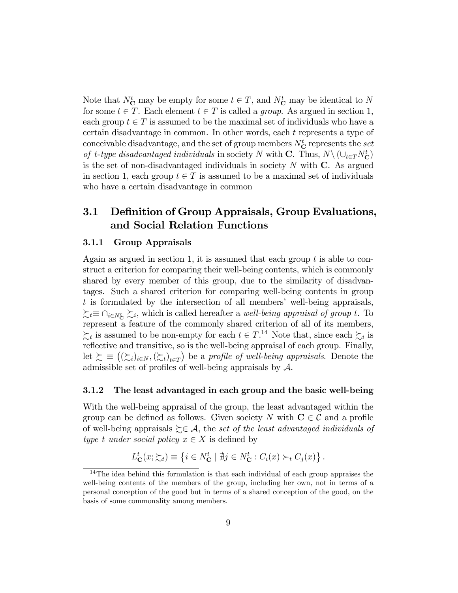Note that  $N_{\mathbf{C}}^t$  may be empty for some  $t \in T$ , and  $N_{\mathbf{C}}^t$  may be identical to N for some  $t \in T$ . Each element  $t \in T$  is called a group. As argued in section 1, each group  $t \in T$  is assumed to be the maximal set of individuals who have a certain disadvantage in common. In other words, each t represents a type of conceivable disadvantage, and the set of group members  $N_C^t$  represents the set of t-type disadvantaged individuals in society N with C. Thus,  $N \setminus (\cup_{t \in T} N_C^t)$ is the set of non-disadvantaged individuals in society  $N$  with  $C$ . As argued in section 1, each group  $t \in T$  is assumed to be a maximal set of individuals who have a certain disadvantage in common

### 3.1 Definition of Group Appraisals, Group Evaluations, and Social Relation Functions

#### 3.1.1 Group Appraisals

Again as argued in section 1, it is assumed that each group  $t$  is able to construct a criterion for comparing their well-being contents, which is commonly shared by every member of this group, due to the similarity of disadvantages. Such a shared criterion for comparing well-being contents in group  $t$  is formulated by the intersection of all members' well-being appraisals,  $\sum_t \equiv \bigcap_{i \in N_{\mathbf{C}}^t} \sum_i$ , which is called hereafter a *well-being appraisal of group t*. To represent a feature of the commonly shared criterion of all of its members,  $\sum_t$  is assumed to be non-empty for each  $t \in T$ .<sup>14</sup> Note that, since each  $\sum_i$  is reflective and transitive, so is the well-being appraisal of each group. Finally, let  $\succsim \equiv ((\succsim_i)_{i\in N}, (\succsim_i)_{i\in T})$  be a profile of well-being appraisals. Denote the admissible set of profiles of well-being appraisals by  $A$ .

#### 3.1.2 The least advantaged in each group and the basic well-being

With the well-being appraisal of the group, the least advantaged within the group can be defined as follows. Given society N with  $C \in \mathcal{C}$  and a profile of well-being appraisals  $\succeq \in \mathcal{A}$ , the set of the least advantaged individuals of type t under social policy  $x \in X$  is defined by

$$
L_{\mathbf{C}}^{t}(x; \Sigma_{t}) \equiv \left\{ i \in N_{\mathbf{C}}^{t} \mid \nexists j \in N_{\mathbf{C}}^{t} : C_{i}(x) \succ_{t} C_{j}(x) \right\}.
$$

 $14$ The idea behind this formulation is that each individual of each group appraises the well-being contents of the members of the group, including her own, not in terms of a personal conception of the good but in terms of a shared conception of the good, on the basis of some commonality among members.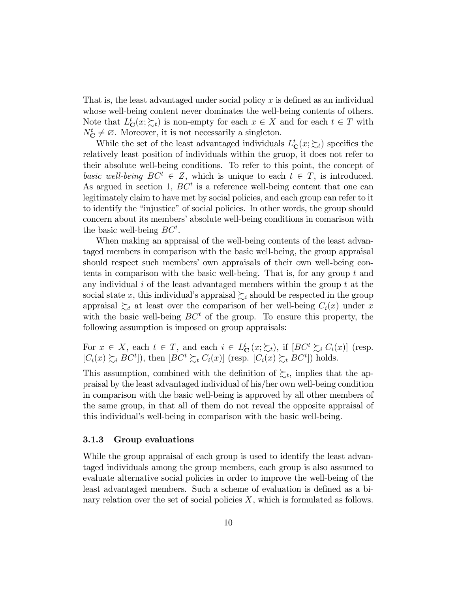That is, the least advantaged under social policy  $x$  is defined as an individual whose well-being content never dominates the well-being contents of others. Note that  $L_{\mathbf{C}}^{t}(x;\Sigma_{t})$  is non-empty for each  $x \in X$  and for each  $t \in T$  with  $N_{\mathbf{C}}^t \neq \emptyset$ . Moreover, it is not necessarily a singleton.

While the set of the least advantaged individuals  $L_{\mathbf{C}}^{t}(x; \xi_t)$  specifies the relatively least position of individuals within the gruop, it does not refer to their absolute well-being conditions. To refer to this point, the concept of basic well-being  $BC^t \in Z$ , which is unique to each  $t \in T$ , is introduced. As argued in section 1,  $BC<sup>t</sup>$  is a reference well-being content that one can legitimately claim to have met by social policies, and each group can refer to it to identify the "injustice" of social policies. In other words, the group should concern about its membersí absolute well-being conditions in comarison with the basic well-being  $BC<sup>t</sup>$ .

When making an appraisal of the well-being contents of the least advantaged members in comparison with the basic well-being, the group appraisal should respect such members' own appraisals of their own well-being contents in comparison with the basic well-being. That is, for any group t and any individual  $i$  of the least advantaged members within the group  $t$  at the social state x, this individual's appraisal  $\succsim_i$  should be respected in the group appraisal  $\sum_{t}$  at least over the comparison of her well-being  $C_i(x)$  under x with the basic well-being  $BC<sup>t</sup>$  of the group. To ensure this property, the following assumption is imposed on group appraisals:

For  $x \in X$ , each  $t \in T$ , and each  $i \in L^t_{\mathbf{C}}(x; \Sigma_t)$ , if  $[BC^t \Sigma_i C_i(x)]$  (resp.  $[C_i(x) \succsim_i BC^t]$ , then  $[BC^t \succsim_t C_i(x)]$  (resp.  $[C_i(x) \succsim_t BC^t]$ ) holds.

This assumption, combined with the definition of  $\sum_{t}$ , implies that the appraisal by the least advantaged individual of his/her own well-being condition in comparison with the basic well-being is approved by all other members of the same group, in that all of them do not reveal the opposite appraisal of this individual's well-being in comparison with the basic well-being.

#### 3.1.3 Group evaluations

While the group appraisal of each group is used to identify the least advantaged individuals among the group members, each group is also assumed to evaluate alternative social policies in order to improve the well-being of the least advantaged members. Such a scheme of evaluation is defined as a binary relation over the set of social policies  $X$ , which is formulated as follows.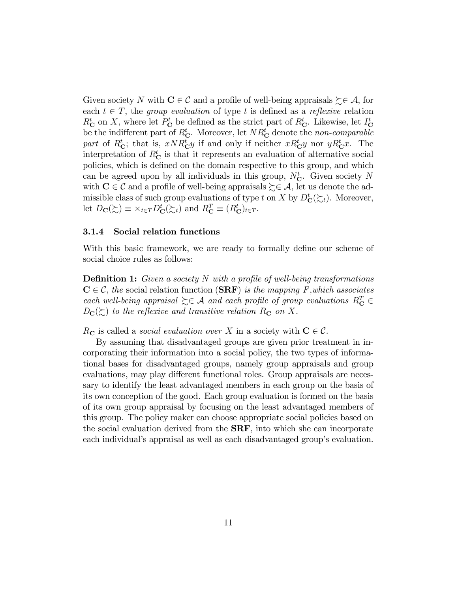Given society N with  $C \in \mathcal{C}$  and a profile of well-being appraisals  $\succeq \in \mathcal{A}$ , for each  $t \in T$ , the group evaluation of type t is defined as a reflexive relation  $R_{\mathbf{C}}^{t}$  on X, where let  $P_{\mathbf{C}}^{t}$  be defined as the strict part of  $R_{\mathbf{C}}^{t}$ . Likewise, let  $I_{\mathbf{C}}^{t}$ be the indifferent part of  $R_{\mathbf{C}}^{t}$ . Moreover, let  $NR_{\mathbf{C}}^{t}$  denote the *non-comparable* part of  $R_{\mathbf{C}}^{t}$ ; that is,  $xNR_{\mathbf{C}}^{t}y$  if and only if neither  $xR_{\mathbf{C}}^{t}y$  nor  $yR_{\mathbf{C}}^{t}x$ . The interpretation of  $R_{\mathbf{C}}^{t}$  is that it represents an evaluation of alternative social policies, which is defined on the domain respective to this group, and which can be agreed upon by all individuals in this group,  $N_{\mathbf{C}}^{t}$ . Given society N with  $C \in \mathcal{C}$  and a profile of well-being appraisals  $\succeq \in \mathcal{A}$ , let us denote the admissible class of such group evaluations of type t on X by  $D_{\mathbf{C}}^t(\succsim_t)$ . Moreover, let  $D_{\mathbf{C}}(\succsim) \equiv \times_{t \in T} D_{\mathbf{C}}^t(\succsim_t)$  and  $R_{\mathbf{C}}^T \equiv (R_{\mathbf{C}}^t)_{t \in T}$ .

#### 3.1.4 Social relation functions

With this basic framework, we are ready to formally define our scheme of social choice rules as follows:

**Definition 1:** Given a society N with a profile of well-being transformations  $C \in \mathcal{C}$ , the social relation function (SRF) is the mapping F, which associates each well-being appraisal  $\succeq \in \mathcal{A}$  and each profile of group evaluations  $R_{\mathbf{C}}^T \in$  $D_{\mathbf{C}}(\succsim)$  to the reflexive and transitive relation  $R_{\mathbf{C}}$  on X.

 $R_{\mathbf{C}}$  is called a *social evaluation over* X in a society with  $\mathbf{C} \in \mathcal{C}$ .

By assuming that disadvantaged groups are given prior treatment in incorporating their information into a social policy, the two types of informational bases for disadvantaged groups, namely group appraisals and group evaluations, may play different functional roles. Group appraisals are necessary to identify the least advantaged members in each group on the basis of its own conception of the good. Each group evaluation is formed on the basis of its own group appraisal by focusing on the least advantaged members of this group. The policy maker can choose appropriate social policies based on the social evaluation derived from the SRF, into which she can incorporate each individual's appraisal as well as each disadvantaged group's evaluation.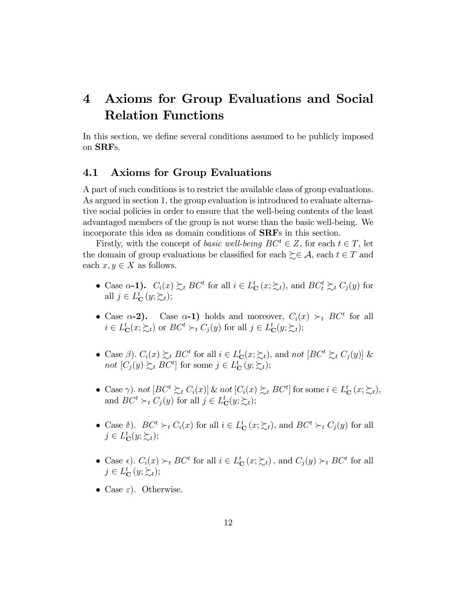# 4 Axioms for Group Evaluations and Social Relation Functions

In this section, we define several conditions assumed to be publicly imposed on SRFs.

#### 4.1 Axioms for Group Evaluations

A part of such conditions is to restrict the available class of group evaluations. As argued in section 1, the group evaluation is introduced to evaluate alternative social policies in order to ensure that the well-being contents of the least advantaged members of the group is not worse than the basic well-being. We incorporate this idea as domain conditions of SRFs in this section.

Firstly, with the concept of *basic well-being*  $BC^t \in Z$ , for each  $t \in T$ , let the domain of group evaluations be classified for each  $\succeq \in \mathcal{A}$ , each  $t \in T$  and each  $x, y \in X$  as follows.

- Case  $\alpha$ -1).  $C_i(x) \succsim_t BC^t$  for all  $i \in L^t_{\mathbf{C}}(x; \succsim_t)$ , and  $BC^t_t \succsim_t C_j(y)$  for all  $j \in L_{\mathbf{C}}^{t} (y; \Sigma_{t});$
- Case  $\alpha$ -2). Case  $\alpha$ -1) holds and moreover,  $C_i(x) \succ_t BC^t$  for all  $i \in L_{\mathbf{C}}^{t}(x; \succsim_{t})$  or  $BC^{t} \succ_{t} C_{j}(y)$  for all  $j \in L_{\mathbf{C}}^{t}(y; \succsim_{t})$ ;
- Case  $\beta$ ).  $C_i(x) \succsim_t BC^t$  for all  $i \in L_{\mathbf{C}}^t(x; \succsim_t)$ , and not  $[BC^t \succsim_t C_j(y)]$  & not  $[C_j(y) \succsim_t BC^t]$  for some  $j \in L^t_{\mathbf{C}}(y; \succsim_t);$
- Case  $\gamma$ ). not  $[BC^t \succsim_t C_i(x)]$  & not  $[C_i(x) \succsim_t BC^t]$  for some  $i \in L_{\mathbf{C}}^t(x; \succsim_t)$ , and  $BC^t \succ_t C_j(y)$  for all  $j \in L^t_{\mathbf{C}}(y; \succsim_t);$
- Case  $\delta$ ).  $BC^t \succ_t C_i(x)$  for all  $i \in L^t_{\mathbf{C}}(x; \succsim_t)$ , and  $BC^t \succ_t C_j(y)$  for all  $j \in L_{\mathbf{C}}^{t}(y; \Sigma_{t});$
- Case  $\epsilon$ ).  $C_i(x) \succ_t BC^t$  for all  $i \in L_{\mathbf{C}}^t(x; \Sigma_t)$ , and  $C_j(y) \succ_t BC^t$  for all  $j \in L_{\mathbf{C}}^{t} (y; \succsim_{t});$
- Case  $\varepsilon$ ). Otherwise.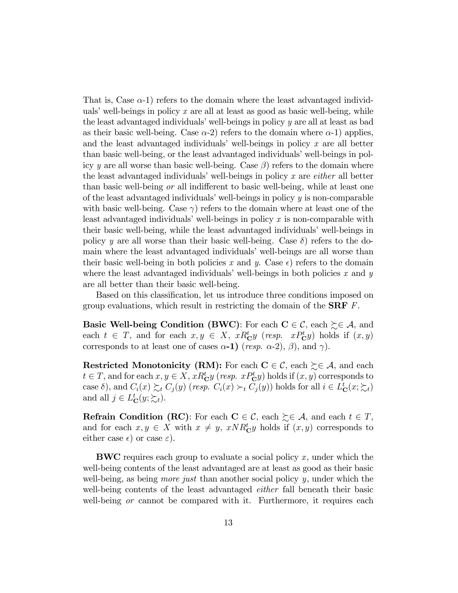That is, Case  $\alpha$ -1) refers to the domain where the least advantaged individuals' well-beings in policy  $x$  are all at least as good as basic well-being, while the least advantaged individuals' well-beings in policy  $y$  are all at least as bad as their basic well-being. Case  $\alpha$ -2) refers to the domain where  $\alpha$ -1) applies, and the least advantaged individuals' well-beings in policy  $x$  are all better than basic well-being, or the least advantaged individuals' well-beings in policy y are all worse than basic well-being. Case  $\beta$ ) refers to the domain where the least advantaged individuals' well-beings in policy  $x$  are *either* all better than basic well-being  $or$  all indifferent to basic well-being, while at least one of the least advantaged individuals' well-beings in policy  $y$  is non-comparable with basic well-being. Case  $\gamma$  refers to the domain where at least one of the least advantaged individuals' well-beings in policy  $x$  is non-comparable with their basic well-being, while the least advantaged individuals' well-beings in policy y are all worse than their basic well-being. Case  $\delta$ ) refers to the domain where the least advantaged individuals' well-beings are all worse than their basic well-being in both policies x and y. Case  $\epsilon$ ) refers to the domain where the least advantaged individuals' well-beings in both policies  $x$  and  $y$ are all better than their basic well-being.

Based on this classification, let us introduce three conditions imposed on group evaluations, which result in restricting the domain of the **SRF**  $F$ .

**Basic Well-being Condition (BWC):** For each  $C \in \mathcal{C}$ , each  $\succeq \in \mathcal{A}$ , and each  $t \in T$ , and for each  $x, y \in X$ ,  $xR_{\mathbf{C}}^{t}y$  (resp.  $xP_{\mathbf{C}}^{t}y$ ) holds if  $(x, y)$ corresponds to at least one of cases  $\alpha$ -1) (resp.  $\alpha$ -2),  $\beta$ ), and  $\gamma$ ).

**Restricted Monotonicity (RM):** For each  $C \in \mathcal{C}$ , each  $\succeq \mathcal{C}$ , and each  $t \in T$ , and for each  $x, y \in X$ ,  $xR_{\mathbf{C}}^{t}y$  (resp.  $xP_{\mathbf{C}}^{t}y$ ) holds if  $(x, y)$  corresponds to case  $\delta$ , and  $C_i(x) \succsim_t C_j(y)$  (resp.  $C_i(x) \succ_t C_j(y)$ ) holds for all  $i \in L^t_{\mathbf{C}}(x; \succsim_t)$ and all  $j \in L^t_{\mathbf{C}}(y; \succsim_t)$ .

**Refrain Condition (RC)**: For each  $C \in \mathcal{C}$ , each  $\succsim \in \mathcal{A}$ , and each  $t \in T$ , and for each  $x, y \in X$  with  $x \neq y$ ,  $xNR_{\mathbf{C}}^t y$  holds if  $(x, y)$  corresponds to either case  $\epsilon$ ) or case  $\varepsilon$ ).

**BWC** requires each group to evaluate a social policy  $x$ , under which the well-being contents of the least advantaged are at least as good as their basic well-being, as being *more just* than another social policy  $y$ , under which the well-being contents of the least advantaged *either* fall beneath their basic well-being *or* cannot be compared with it. Furthermore, it requires each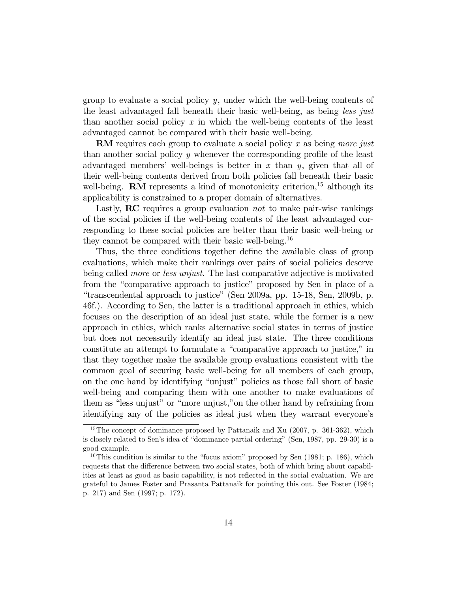group to evaluate a social policy  $y$ , under which the well-being contents of the least advantaged fall beneath their basic well-being, as being less just than another social policy  $x$  in which the well-being contents of the least advantaged cannot be compared with their basic well-being.

**RM** requires each group to evaluate a social policy x as being more just than another social policy  $y$  whenever the corresponding profile of the least advantaged members' well-beings is better in x than  $y$ , given that all of their well-being contents derived from both policies fall beneath their basic well-being. **RM** represents a kind of monotonicity criterion,<sup>15</sup> although its applicability is constrained to a proper domain of alternatives.

Lastly, **RC** requires a group evaluation not to make pair-wise rankings of the social policies if the well-being contents of the least advantaged corresponding to these social policies are better than their basic well-being or they cannot be compared with their basic well-being.<sup>16</sup>

Thus, the three conditions together define the available class of group evaluations, which make their rankings over pairs of social policies deserve being called more or less unjust. The last comparative adjective is motivated from the "comparative approach to justice" proposed by Sen in place of a "transcendental approach to justice" (Sen 2009a, pp.  $15-18$ , Sen, 2009b, p. 46f.). According to Sen, the latter is a traditional approach in ethics, which focuses on the description of an ideal just state, while the former is a new approach in ethics, which ranks alternative social states in terms of justice but does not necessarily identify an ideal just state. The three conditions constitute an attempt to formulate a "comparative approach to justice," in that they together make the available group evaluations consistent with the common goal of securing basic well-being for all members of each group, on the one hand by identifying "unjust" policies as those fall short of basic well-being and comparing them with one another to make evaluations of them as "less unjust" or "more unjust," on the other hand by refraining from identifying any of the policies as ideal just when they warrant everyone's

<sup>&</sup>lt;sup>15</sup>The concept of dominance proposed by Pattanaik and Xu  $(2007, p. 361-362)$ , which is closely related to Sen's idea of "dominance partial ordering" (Sen, 1987, pp. 29-30) is a good example.

<sup>&</sup>lt;sup>16</sup>This condition is similar to the "focus axiom" proposed by Sen (1981; p. 186), which requests that the difference between two social states, both of which bring about capabilities at least as good as basic capability, is not reflected in the social evaluation. We are grateful to James Foster and Prasanta Pattanaik for pointing this out. See Foster (1984; p. 217) and Sen (1997; p. 172).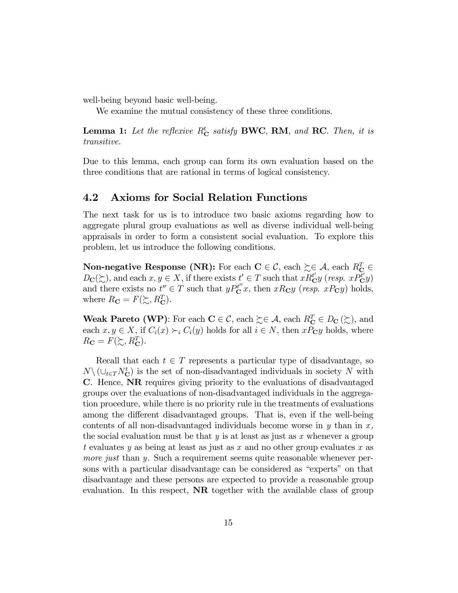well-being beyond basic well-being.

We examine the mutual consistency of these three conditions.

**Lemma 1:** Let the reflexive  $R_C^t$  satisfy **BWC**, **RM**, and **RC**. Then, it is transitive.

Due to this lemma, each group can form its own evaluation based on the three conditions that are rational in terms of logical consistency.

#### 4.2 Axioms for Social Relation Functions

The next task for us is to introduce two basic axioms regarding how to aggregate plural group evaluations as well as diverse individual well-being appraisals in order to form a consistent social evaluation. To explore this problem, let us introduce the following conditions.

Non-negative Response (NR): For each  $C \in \mathcal{C}$ , each  $\sum_{i=1}^{n} \mathcal{A}_i$ , each  $R_C^T \in$  $D_{\mathbf{C}}(\succsim)$ , and each  $x, y \in X$ , if there exists  $t' \in T$  such that  $xR_{\mathbf{C}}^{t'}y$  (resp.  $xP_{\mathbf{C}}^{t'}y$ ) and there exists no  $t'' \in T$  such that  $yP_{\mathbf{C}}^{t''}x$ , then  $xR_{\mathbf{C}}y$  (resp.  $xP_{\mathbf{C}}y$ ) holds, where  $R_{\mathbf{C}} = F(\succsim, R_{\mathbf{C}}^T)$ .

Weak Pareto (WP): For each  $C \in \mathcal{C}$ , each  $\zeta \in \mathcal{A}$ , each  $R_{\mathbf{C}}^T \in D_{\mathbf{C}}(\zeta)$ , and each  $x, y \in X$ , if  $C_i(x) \succ_i C_i(y)$  holds for all  $i \in N$ , then  $xP_{\mathbf{C}}y$  holds, where  $R_{\mathbf{C}} = F(\succsim, R_{\mathbf{C}}^T).$ 

Recall that each  $t \in T$  represents a particular type of disadvantage, so  $N \setminus (\cup_{t \in T} N_{\mathbf{C}}^t)$  is the set of non-disadvantaged individuals in society N with C. Hence, NR requires giving priority to the evaluations of disadvantaged groups over the evaluations of non-disadvantaged individuals in the aggregation procedure, while there is no priority rule in the treatments of evaluations among the different disadvantaged groups. That is, even if the well-being contents of all non-disadvantaged individuals become worse in  $y$  than in  $x$ , the social evaluation must be that  $y$  is at least as just as  $x$  whenever a group t evaluates y as being at least as just as x and no other group evaluates x as more just than y. Such a requirement seems quite reasonable whenever persons with a particular disadvantage can be considered as "experts" on that disadvantage and these persons are expected to provide a reasonable group evaluation. In this respect, **NR** together with the available class of group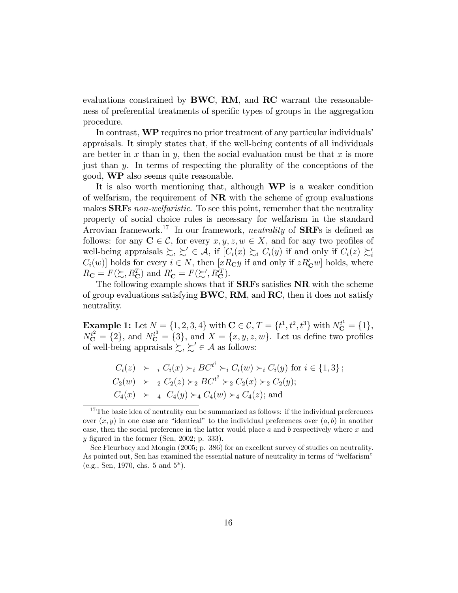evaluations constrained by BWC, RM, and RC warrant the reasonableness of preferential treatments of specific types of groups in the aggregation procedure.

In contrast, WP requires no prior treatment of any particular individuals<sup>7</sup> appraisals. It simply states that, if the well-being contents of all individuals are better in x than in y, then the social evaluation must be that x is more just than y. In terms of respecting the plurality of the conceptions of the good, WP also seems quite reasonable.

It is also worth mentioning that, although WP is a weaker condition of welfarism, the requirement of  $NR$  with the scheme of group evaluations makes **SRF**s non-welfaristic. To see this point, remember that the neutrality property of social choice rules is necessary for welfarism in the standard Arrovian framework.<sup>17</sup> In our framework, neutrality of **SRF**s is defined as follows: for any  $C \in \mathcal{C}$ , for every  $x, y, z, w \in X$ , and for any two profiles of well-being appraisals  $\sum_i \sum_j \in \mathcal{A}$ , if  $[C_i(x) \sum_i C_i(y)]$  if and only if  $C_i(z) \sum_i$  $C_i(w)$  holds for every  $i \in N$ , then  $[xR_{\mathbf{C}}y$  if and only if  $zR_{\mathbf{C}}'w$  holds, where  $R_{\mathbf{C}} = F(\succsim, R_{\mathbf{C}}^T)$  and  $R'_{\mathbf{C}} = F(\succsim', R_{\mathbf{C}}^T)$ .

The following example shows that if  $SRFs$  satisfies  $NR$  with the scheme of group evaluations satisfying  $BWC$ , RM, and RC, then it does not satisfy neutrality.

**Example 1:** Let  $N = \{1, 2, 3, 4\}$  with  $C \in \mathcal{C}$ ,  $T = \{t^1, t^2, t^3\}$  with  $N_C^{t^1} = \{1\}$ ,  $N_{\mathbf{C}}^{t^2} = \{2\}$ , and  $N_{\mathbf{C}}^{t^3} = \{3\}$ , and  $X = \{x, y, z, w\}$ . Let us define two profiles of well-being appraisals  $\succsim, \succsim' \in \mathcal{A}$  as follows:

$$
C_i(z) \succ_i C_i(x) \succ_i BC^{t^i} \succ_i C_i(w) \succ_i C_i(y) \text{ for } i \in \{1, 3\};
$$
  
\n
$$
C_2(w) \succ_2 C_2(z) \succ_2 BC^{t^2} \succ_2 C_2(x) \succ_2 C_2(y);
$$
  
\n
$$
C_4(x) \succ_4 C_4(y) \succ_4 C_4(w) \succ_4 C_4(z); \text{ and}
$$

 $17$ The basic idea of neutrality can be summarized as follows: if the individual preferences over  $(x, y)$  in one case are "identical" to the individual preferences over  $(a, b)$  in another case, then the social preference in the latter would place  $a$  and  $b$  respectively where  $x$  and y figured in the former (Sen, 2002; p. 333).

See Fleurbaey and Mongin (2005; p. 386) for an excellent survey of studies on neutrality. As pointed out, Sen has examined the essential nature of neutrality in terms of "welfarism" (e.g., Sen, 1970, chs. 5 and 5\*).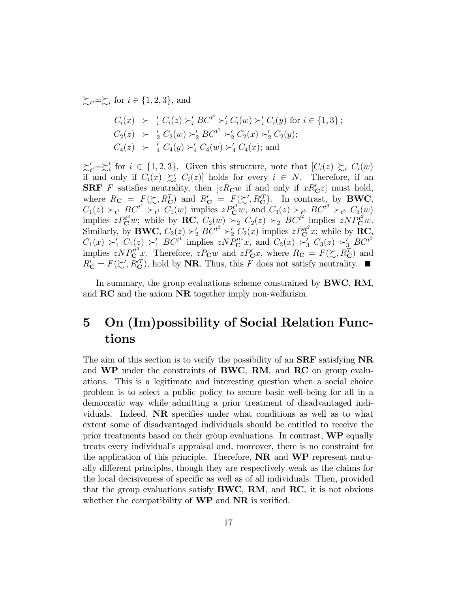$\sum_{i} \sum_{i}$  for  $i \in \{1, 2, 3\}$ , and

$$
C_i(x) \succ'_i C_i(z) \succ'_i BC^{t^i} \succ'_i C_i(w) \succ'_i C_i(y) \text{ for } i \in \{1, 3\};
$$
  
\n
$$
C_2(z) \succ'_2 C_2(w) \succ'_2 BC^{t^2} \succ'_2 C_2(x) \succ'_2 C_2(y);
$$
  
\n
$$
C_4(z) \succ'_4 C_4(y) \succ'_4 C_4(w) \succ'_4 C_4(x); \text{ and}
$$

 $\sum_{i} k' = \sum_{i}^{\prime}$  for  $i \in \{1, 2, 3\}$ . Given this structure, note that  $[C_i(z)] \sum_{i} C_i(w)$ if and only if  $C_i(x) \succeq_i^i C_i(z)$  holds for every  $i \in N$ . Therefore, if an **SRF** F satisfies neutrality, then  $[zR_{\mathbf{C}}w$  if and only if  $xR'_{\mathbf{C}}z$  must hold, where  $R_{\mathbf{C}} = F(\succsim, R_{\mathbf{C}}^T)$  and  $R'_{\mathbf{C}} = F(\succsim', R_{\mathbf{C}}^T)$ . In contrast, by **BWC**,  $C_1(z) \succ_{t^1} BC^{t^1} \succ_{t^1} C_1(w)$  implies  $zP_{\mathbf{C}}^{t^1}w$ , and  $C_3(z) \succ_{t^3} BC^{t^3} \succ_{t^3} C_3(w)$ implies  $zP_{\mathbf{C}}^{t^3}w$ ; while by  $\mathbf{RC}, C_2(w) \succ_2 C_2(z) \succ_2 BC^{t^2}$  implies  $zNP_{\mathbf{C}}^{t^2}w$ . Similarly, by **BWC**,  $C_2(z) \succ_2' BC^{t^2} \succ_2' C_2(x)$  implies  $zP^{t^2}_C x$ ; while by **RC**,  $C_1(x) \succ_1' C_1(z) \succ_1' B C^{t^1}$  implies  $zNP_C^{t^1}x$ , and  $C_3(x) \succ_3' C_3(z) \succ_3' B C^{t^3}$ implies  $zNP^{i3}_{\mathbf{C}}x$ . Therefore,  $zP_{\mathbf{C}}w$  and  $zP'_{\mathbf{C}}x$ , where  $R_{\mathbf{C}} = F(\succsim, R_{\mathbf{C}}^T)$  and  $R'_{\mathbf{C}} = F(\succsim', R''_{\mathbf{C}})$ , hold by **NR**. Thus, this F does not satisfy neutrality.

In summary, the group evaluations scheme constrained by **BWC**, **RM**, and RC and the axiom NR together imply non-welfarism.

# 5 On (Im)possibility of Social Relation Functions

The aim of this section is to verify the possibility of an **SRF** satisfying **NR** and WP under the constraints of BWC, RM, and RC on group evaluations. This is a legitimate and interesting question when a social choice problem is to select a public policy to secure basic well-being for all in a democratic way while admitting a prior treatment of disadvantaged individuals. Indeed,  $NR$  specifies under what conditions as well as to what extent some of disadvantaged individuals should be entitled to receive the prior treatments based on their group evaluations. In contrast, WP equally treats every individualís appraisal and, moreover, there is no constraint for the application of this principle. Therefore, NR and WP represent mutually different principles, though they are respectively weak as the claims for the local decisiveness of specific as well as of all individuals. Then, provided that the group evaluations satisfy BWC, RM, and RC, it is not obvious whether the compatibility of  $\bf{WP}$  and  $\bf{NR}$  is verified.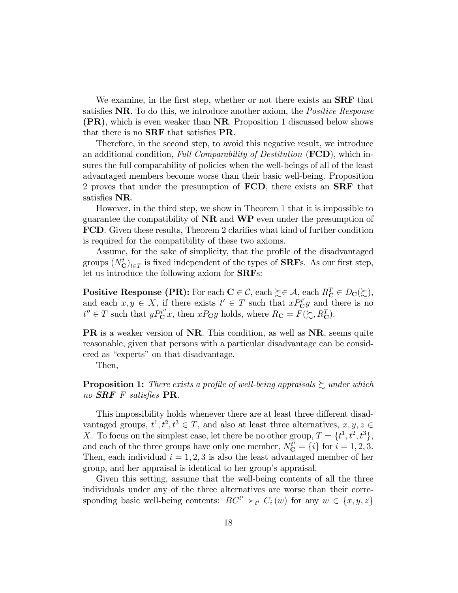We examine, in the first step, whether or not there exists an **SRF** that satisfies  $NR$ . To do this, we introduce another axiom, the *Positive Response* (PR), which is even weaker than NR. Proposition 1 discussed below shows that there is no **SRF** that satisfies **PR**.

Therefore, in the second step, to avoid this negative result, we introduce an additional condition, Full Comparability of Destitution  $(FCD)$ , which insures the full comparability of policies when the well-beings of all of the least advantaged members become worse than their basic well-being. Proposition 2 proves that under the presumption of **FCD**, there exists an **SRF** that satisfies NR.

However, in the third step, we show in Theorem 1 that it is impossible to guarantee the compatibility of  $NR$  and  $WP$  even under the presumption of FCD. Given these results, Theorem 2 clarifies what kind of further condition is required for the compatibility of these two axioms.

Assume, for the sake of simplicity, that the profile of the disadvantaged groups  $(N_C^t)_{t \in T}$  is fixed independent of the types of **SRF**s. As our first step, let us introduce the following axiom for SRFs:

**Positive Response (PR):** For each  $C \in \mathcal{C}$ , each  $\gtrsim \in \mathcal{A}$ , each  $R_C^T \in D_C(\gtrsim)$ , and each  $x, y \in X$ , if there exists  $t' \in T$  such that  $xP_{\mathbf{C}}^{t'}y$  and there is no  $t'' \in T$  such that  $yP_{\mathbf{C}}^{t''}x$ , then  $xP_{\mathbf{C}}y$  holds, where  $R_{\mathbf{C}} = F(\succsim, R_{\mathbf{C}}^T)$ .

PR is a weaker version of NR. This condition, as well as NR, seems quite reasonable, given that persons with a particular disadvantage can be considered as "experts" on that disadvantage.

Then,

**Proposition 1:** There exists a profile of well-being appraisals  $\gtrsim$  under which no  $\mathbf{SRF}$  F satisfies PR.

This impossibility holds whenever there are at least three different disadvantaged groups,  $t^1, t^2, t^3 \in T$ , and also at least three alternatives,  $x, y, z \in$ X. To focus on the simplest case, let there be no other group,  $T = \{t^1, t^2, t^3\}$ , and each of the three groups have only one member,  $N_C^{t^i} = \{i\}$  for  $i = 1, 2, 3$ . Then, each individual  $i = 1, 2, 3$  is also the least advantaged member of her group, and her appraisal is identical to her group's appraisal.

Given this setting, assume that the well-being contents of all the three individuals under any of the three alternatives are worse than their corresponding basic well-being contents:  $BC^{t^i} \succ_{t^i} C_i(w)$  for any  $w \in \{x, y, z\}$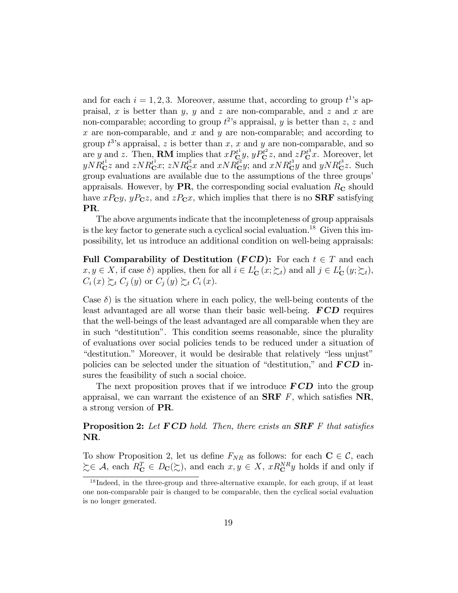and for each  $i = 1, 2, 3$ . Moreover, assume that, according to group  $t<sup>1</sup>$ 's appraisal, x is better than y, y and z are non-comparable, and z and x are non-comparable; according to group  $t^2$ 's appraisal, y is better than z, z and x are non-comparable, and x and y are non-comparable; and according to group  $t^{3}$ 's appraisal, z is better than x, x and y are non-comparable, and so are y and z. Then, **RM** implies that  $x P_{\mathbf{C}}^{t^1} y$ ,  $y P_{\mathbf{C}}^{t^2} z$ , and  $z P_{\mathbf{C}}^{t^3} x$ . Moreover, let  $yNR_C^{t^1}z$  and  $zNR_C^{t^2}x$ ;  $zNR_C^{t^2}x$  and  $xNR_C^{t^2}y$ ; and  $xNR_C^{t^3}y$  and  $yNR_C^{t^3}z$ . Such group evaluations are available due to the assumptions of the three groups' appraisals. However, by  $PR$ , the corresponding social evaluation  $R_{\rm C}$  should have  $xP_{\mathbf{C}}y$ ,  $yP_{\mathbf{C}}z$ , and  $zP_{\mathbf{C}}x$ , which implies that there is no **SRF** satisfying PR.

The above arguments indicate that the incompleteness of group appraisals is the key factor to generate such a cyclical social evaluation.<sup>18</sup> Given this impossibility, let us introduce an additional condition on well-being appraisals:

Full Comparability of Destitution ( $FCD$ ): For each  $t \in T$  and each  $x, y \in X$ , if case  $\delta$ ) applies, then for all  $i \in L_{\mathbf{C}}^{t}(x; \xi_t)$  and all  $j \in L_{\mathbf{C}}^{t}(y; \xi_t)$ ,  $C_i(x) \succsim_t C_j(y)$  or  $C_j(y) \succsim_t C_i(x)$ .

Case  $\delta$ ) is the situation where in each policy, the well-being contents of the least advantaged are all worse than their basic well-being. FCD requires that the well-beings of the least advantaged are all comparable when they are in such "destitution". This condition seems reasonable, since the plurality of evaluations over social policies tends to be reduced under a situation of "destitution." Moreover, it would be desirable that relatively "less unjust" policies can be selected under the situation of "destitution," and  $\bf{FCD}$  insures the feasibility of such a social choice.

The next proposition proves that if we introduce  $\mathbf{FCD}$  into the group appraisal, we can warrant the existence of an **SRF**  $F$ , which satisfies **NR**, a strong version of PR.

#### **Proposition 2:** Let  $\mathbf{FCD}$  hold. Then, there exists an **SRF**  $F$  that satisfies NR.

To show Proposition 2, let us define  $F_{NR}$  as follows: for each  $C \in \mathcal{C}$ , each  $\xi \in \mathcal{A}$ , each  $R_{\mathbf{C}}^T \in D_{\mathbf{C}}(\xi)$ , and each  $x, y \in X$ ,  $xR_{\mathbf{C}}^{NR}y$  holds if and only if

 $18$  Indeed, in the three-group and three-alternative example, for each group, if at least one non-comparable pair is changed to be comparable, then the cyclical social evaluation is no longer generated.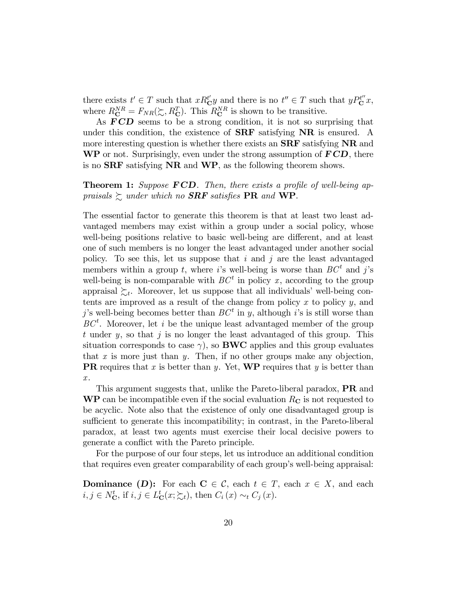there exists  $t' \in T$  such that  $xR_{\mathbf{C}}^{t'}y$  and there is no  $t'' \in T$  such that  $yP_{\mathbf{C}}^{t''}x$ , where  $R_{\mathbf{C}}^{NR} = F_{NR}(\succsim, R_{\mathbf{C}}^{T})$ . This  $R_{\mathbf{C}}^{NR}$  is shown to be transitive.

As  $FCD$  seems to be a strong condition, it is not so surprising that under this condition, the existence of **SRF** satisfying **NR** is ensured. A more interesting question is whether there exists an **SRF** satisfying **NR** and WP or not. Surprisingly, even under the strong assumption of  $\pmb{FCD}$ , there is no SRF satisfying NR and WP, as the following theorem shows.

#### **Theorem 1:** Suppose  $FCD$ . Then, there exists a profile of well-being appraisals  $\succsim$  under which no **SRF** satisfies PR and WP.

The essential factor to generate this theorem is that at least two least advantaged members may exist within a group under a social policy, whose well-being positions relative to basic well-being are different, and at least one of such members is no longer the least advantaged under another social policy. To see this, let us suppose that  $i$  and  $j$  are the least advantaged members within a group t, where i's well-being is worse than  $BC<sup>t</sup>$  and j's well-being is non-comparable with  $BC<sup>t</sup>$  in policy x, according to the group appraisal  $\succsim_t$ . Moreover, let us suppose that all individuals' well-being contents are improved as a result of the change from policy  $x$  to policy  $y$ , and j's well-being becomes better than  $BC<sup>t</sup>$  in y, although i's is still worse than  $BC<sup>t</sup>$ . Moreover, let *i* be the unique least advantaged member of the group t under  $y$ , so that j is no longer the least advantaged of this group. This situation corresponds to case  $\gamma$ , so **BWC** applies and this group evaluates that x is more just than y. Then, if no other groups make any objection, **PR** requires that x is better than y. Yet, **WP** requires that y is better than  $\mathcal{X}$ .

This argument suggests that, unlike the Pareto-liberal paradox, **PR** and WP can be incompatible even if the social evaluation  $R_{\rm C}$  is not requested to be acyclic. Note also that the existence of only one disadvantaged group is sufficient to generate this incompatibility; in contrast, in the Pareto-liberal paradox, at least two agents must exercise their local decisive powers to generate a conflict with the Pareto principle.

For the purpose of our four steps, let us introduce an additional condition that requires even greater comparability of each group's well-being appraisal:

**Dominance (D):** For each  $C \in \mathcal{C}$ , each  $t \in T$ , each  $x \in X$ , and each  $i, j \in N_{\mathbf{C}}^{t}$ , if  $i, j \in L_{\mathbf{C}}^{t}(x; \succsim_{t})$ , then  $C_{i}(x) \sim_{t} C_{j}(x)$ .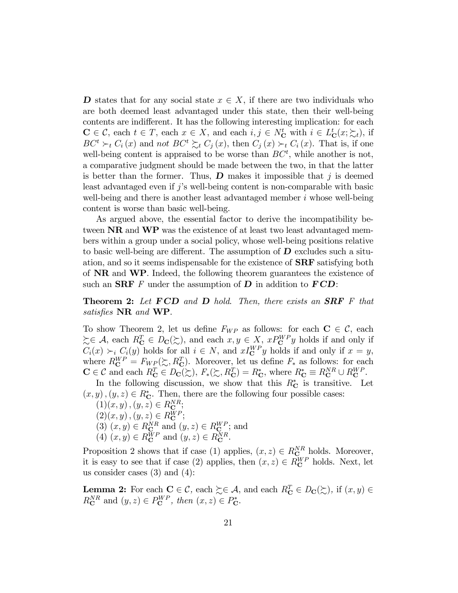**D** states that for any social state  $x \in X$ , if there are two individuals who are both deemed least advantaged under this state, then their well-being contents are indifferent. It has the following interesting implication: for each  $C \in \mathcal{C}$ , each  $t \in T$ , each  $x \in X$ , and each  $i, j \in N_{\mathbf{C}}^{t}$  with  $i \in L_{\mathbf{C}}^{t}(x; \xi_{t})$ , if  $BC^t \succ_t C_i(x)$  and not  $BC^t \succsim_t C_j(x)$ , then  $C_j(x) \succ_t C_i(x)$ . That is, if one well-being content is appraised to be worse than  $BC<sup>t</sup>$ , while another is not, a comparative judgment should be made between the two, in that the latter is better than the former. Thus,  $\bm{D}$  makes it impossible that j is deemed least advantaged even if jís well-being content is non-comparable with basic well-being and there is another least advantaged member  $i$  whose well-being content is worse than basic well-being.

As argued above, the essential factor to derive the incompatibility between NR and WP was the existence of at least two least advantaged members within a group under a social policy, whose well-being positions relative to basic well-being are different. The assumption of  $\bf{D}$  excludes such a situation, and so it seems indispensable for the existence of SRF satisfying both of NR and WP. Indeed, the following theorem guarantees the existence of such an **SRF**  $F$  under the assumption of  $D$  in addition to  $FCD$ :

Theorem 2: Let  $FCD$  and D hold. Then, there exists an SRF F that satisfies  $NR$  and  $WP$ .

To show Theorem 2, let us define  $F_{WP}$  as follows: for each  $C \in \mathcal{C}$ , each  $\xi \in \mathcal{A}$ , each  $R_{\mathbf{C}}^T \in D_{\mathbf{C}}(\xi)$ , and each  $x, y \in X$ ,  $xP_{\mathbf{C}}^{WP}y$  holds if and only if  $C_i(x) \succ_i C_i(y)$  holds for all  $i \in N$ , and  $xI_C^{WP}y$  holds if and only if  $x = y$ , where  $R_{\mathbf{C}}^{WP} = F_{WP}(\succsim, R_{\mathbf{C}}^T)$ . Moreover, let us define  $F_*$  as follows: for each  $\mathbf{C} \in \mathcal{C}$  and each  $R_{\mathbf{C}}^T \in D_{\mathbf{C}}(\succsim), F_*(\succsim, R_{\mathbf{C}}^T) = R_{\mathbf{C}}^*$ , where  $R_{\mathbf{C}}^* \equiv R_{\mathbf{C}}^{NR} \cup R_{\mathbf{C}}^{WP}$ .

In the following discussion, we show that this  $R_{\mathbf{C}}^*$  is transitive. Let  $(x, y), (y, z) \in R^*_{\mathbf{C}}$ . Then, there are the following four possible cases:

 $(1)(x, y), (y, z) \in R_{\mathbf{C}}^{NR};$  $(2)(x, y), (y, z) \in R_{\mathbf{C}}^{WP};$  $(3)(x, y) \in R_{\mathbf{C}}^{NR}$  and  $(y, z) \in R_{\mathbf{C}}^{WP}$ ; and (4)  $(x, y) \in R_{\mathbf{C}}^{WP}$  and  $(y, z) \in R_{\mathbf{C}}^{NR}$ .

Proposition 2 shows that if case (1) applies,  $(x, z) \in R_{\mathbf{C}}^{NR}$  holds. Moreover, it is easy to see that if case (2) applies, then  $(x, z) \in R_{\mathbf{C}}^{WP}$  holds. Next, let us consider cases  $(3)$  and  $(4)$ :

**Lemma 2:** For each  $C \in \mathcal{C}$ , each  $\succsim \in \mathcal{A}$ , and each  $R_{\mathbf{C}}^T \in D_{\mathbf{C}}(\succsim)$ , if  $(x, y) \in$  $R_{\mathbf{C}}^{NR}$  and  $(y, z) \in P_{\mathbf{C}}^{WP}$ , then  $(x, z) \in P_{\mathbf{C}}^{*}$ .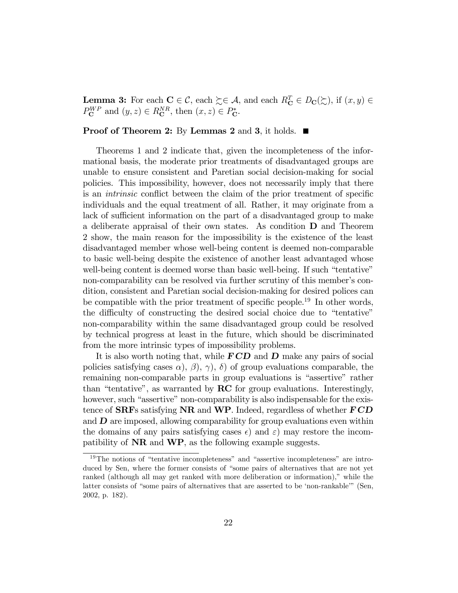**Lemma 3:** For each  $C \in \mathcal{C}$ , each  $\succsim \in \mathcal{A}$ , and each  $R_{\mathbf{C}}^T \in D_{\mathbf{C}}(\succsim)$ , if  $(x, y) \in$  $P_{\mathbf{C}}^{WP}$  and  $(y, z) \in R_{\mathbf{C}}^{NR}$ , then  $(x, z) \in P_{\mathbf{C}}^{*}$ .

#### **Proof of Theorem 2:** By Lemmas 2 and 3, it holds.  $\blacksquare$

Theorems 1 and 2 indicate that, given the incompleteness of the informational basis, the moderate prior treatments of disadvantaged groups are unable to ensure consistent and Paretian social decision-making for social policies. This impossibility, however, does not necessarily imply that there is an *intrinsic* conflict between the claim of the prior treatment of specific individuals and the equal treatment of all. Rather, it may originate from a lack of sufficient information on the part of a disadvantaged group to make a deliberate appraisal of their own states. As condition D and Theorem 2 show, the main reason for the impossibility is the existence of the least disadvantaged member whose well-being content is deemed non-comparable to basic well-being despite the existence of another least advantaged whose well-being content is deemed worse than basic well-being. If such "tentative" non-comparability can be resolved via further scrutiny of this member's condition, consistent and Paretian social decision-making for desired polices can be compatible with the prior treatment of specific people.<sup>19</sup> In other words, the difficulty of constructing the desired social choice due to "tentative" non-comparability within the same disadvantaged group could be resolved by technical progress at least in the future, which should be discriminated from the more intrinsic types of impossibility problems.

It is also worth noting that, while  $\bf{FCD}$  and  $\bf{D}$  make any pairs of social policies satisfying cases  $\alpha$ ,  $\beta$ ,  $\gamma$ ,  $\delta$ ) of group evaluations comparable, the remaining non-comparable parts in group evaluations is "assertive" rather than "tentative", as warranted by  $\mathbb{R}C$  for group evaluations. Interestingly, however, such "assertive" non-comparability is also indispensable for the existence of **SRF**s satisfying **NR** and **WP**. Indeed, regardless of whether  $\vec{F}$  CD and  $\bm{D}$  are imposed, allowing comparability for group evaluations even within the domains of any pairs satisfying cases  $\epsilon$ ) and  $\varepsilon$ ) may restore the incompatibility of NR and WP, as the following example suggests.

 $19$ The notions of "tentative incompleteness" and "assertive incompleteness" are introduced by Sen, where the former consists of "some pairs of alternatives that are not yet ranked (although all may get ranked with more deliberation or information)," while the latter consists of "some pairs of alternatives that are asserted to be 'non-rankable'" (Sen, 2002, p. 182).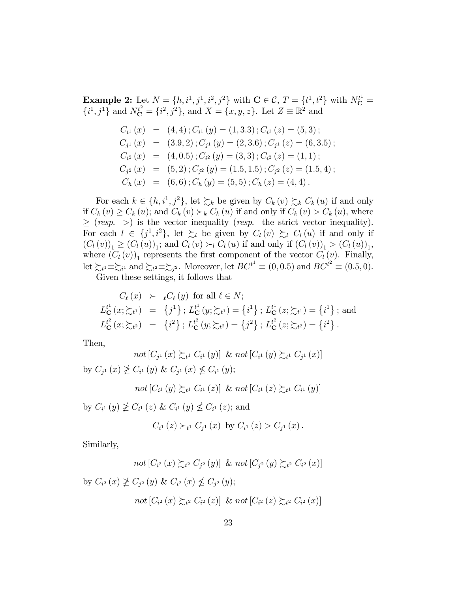**Example 2:** Let  $N = \{h, i^1, j^1, i^2, j^2\}$  with  $C \in \mathcal{C}$ ,  $T = \{t^1, t^2\}$  with  $N_{\mathbf{C}}^{t^1} =$  $\{i^1, j^1\}$  and  $N_{\mathbf{C}}^{t^2} = \{i^2, j^2\}$ , and  $X = \{x, y, z\}$ . Let  $Z \equiv \mathbb{R}^2$  and

$$
C_{i^1}(x) = (4,4); C_{i^1}(y) = (1,3.3); C_{i^1}(z) = (5,3);
$$
  
\n
$$
C_{j^1}(x) = (3.9,2); C_{j^1}(y) = (2,3.6); C_{j^1}(z) = (6,3.5);
$$
  
\n
$$
C_{i^2}(x) = (4,0.5); C_{i^2}(y) = (3,3); C_{i^2}(z) = (1,1);
$$
  
\n
$$
C_{j^2}(x) = (5,2); C_{j^2}(y) = (1.5,1.5); C_{j^2}(z) = (1.5,4);
$$
  
\n
$$
C_h(x) = (6,6); C_h(y) = (5,5); C_h(z) = (4,4).
$$

For each  $k \in \{h, i^1, j^2\}$ , let  $\succsim_k$  be given by  $C_k(v) \succsim_k C_k(u)$  if and only if  $C_k(v) \geq C_k(u)$ ; and  $C_k(v) \succ_k C_k(u)$  if and only if  $C_k(v) > C_k(u)$ , where  $\geq$  (resp. >) is the vector inequality (resp. the strict vector inequality). For each  $l \in \{j^1, i^2\}$ , let  $\succsim_l l$  be given by  $C_l(v) \succeq_l C_l(u)$  if and only if  $(C_l (v))_1 \ge (C_l (u))_1$ ; and  $C_l (v) \succ_l C_l (u)$  if and only if  $(C_l (v))_1 > (C_l (u))_1$ , where  $(C_l(v))_1$  represents the first component of the vector  $C_l(v)$ . Finally, let  $\succsim_{t} \equiv \succsim_{i}$  and  $\succsim_{t} \equiv \succsim_{j}$ . Moreover, let  $BC^{t^1} \equiv (0, 0.5)$  and  $BC^{t^2} \equiv (0.5, 0)$ .

Given these settings, it follows that

$$
C_{\ell}(x) \succ \iota C_{\ell}(y) \text{ for all } \ell \in N; L_{\mathbf{C}}^{t^{1}}(x; \succcurlyeq_{t^{1}}) = \{j^{1}\}; L_{\mathbf{C}}^{t^{1}}(y; \succcurlyeq_{t^{1}}) = \{i^{1}\}; L_{\mathbf{C}}^{t^{1}}(z; \succcurlyeq_{t^{1}}) = \{i^{1}\}; \text{ and } L_{\mathbf{C}}^{t^{2}}(x; \succcurlyeq_{t^{2}}) = \{i^{2}\}; L_{\mathbf{C}}^{t^{2}}(y; \succcurlyeq_{t^{2}}) = \{j^{2}\}; L_{\mathbf{C}}^{t^{2}}(z; \succcurlyeq_{t^{2}}) = \{i^{2}\}.
$$

Then,

$$
not [C_{j1} (x) \succsim_{t^1} C_{i1} (y)] \& not [C_{i1} (y) \succsim_{t^1} C_{j1} (x)]
$$
  
by  $C_{j1} (x) \not\geq C_{i1} (y) \& C_{j1} (x) \not\leq C_{i1} (y);$ 

not 
$$
[C_{i1}(y) \sum_{t} C_{i1}(z)]
$$
 & not  $[C_{i1}(z) \sum_{t} C_{i1}(y)]$ 

by  $C_{i^1}(y) \not\geq C_{i^1}(z)$  &  $C_{i^1}(y) \not\leq C_{i^1}(z)$ ; and

$$
C_{i^1}(z) \succ_{t^1} C_{j^1}(x)
$$
 by  $C_{i^1}(z) > C_{j^1}(x)$ .

Similarly,

not 
$$
[C_{i^2}(x) \succsim_{t^2} C_{j^2}(y)]
$$
 & not  $[C_{j^2}(y) \succsim_{t^2} C_{i^2}(x)]$ 

by  $C_{i^2}(x) \not\geq C_{i^2}(y)$  &  $C_{i^2}(x) \not\leq C_{i^2}(y)$ ;

not 
$$
[C_{i^2}(x) \sum_{i^2} C_{i^2}(z)]
$$
 & not  $[C_{i^2}(z) \sum_{i^2} C_{i^2}(x)]$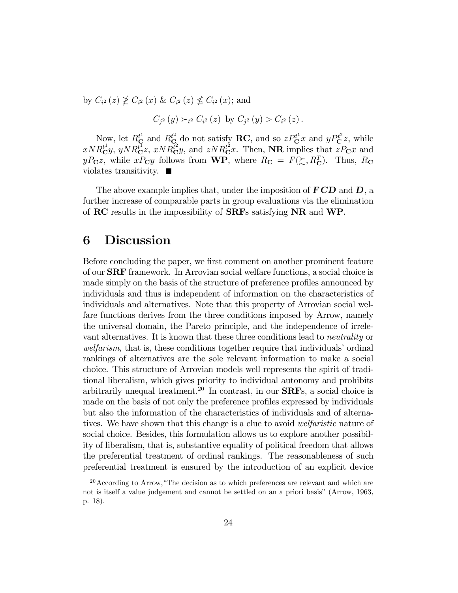by  $C_{i^2}(z) \not\geq C_{i^2}(x)$  &  $C_{i^2}(z) \not\leq C_{i^2}(x)$ ; and

$$
C_{j^2}(y) \succ_{t^2} C_{i^2}(z)
$$
 by  $C_{j^2}(y) > C_{i^2}(z)$ .

Now, let  $R_{\bf C}^{t^1}$  and  $R_{\bf C}^{t^2}$  do not satisfy **RC**, and so  $zP_{\bf C}^{t^1}x$  and  $yP_{\bf C}^{t^2}z$ , while  $xNR_C^{t^1}y, yNR_C^{t^1}z, xNR_C^{t^2}y, \text{ and } zNR_C^{t^2}x.$  Then, **NR** implies that  $zP_Cx$  and  $yP_{\mathbf{C}}z$ , while  $xP_{\mathbf{C}}y$  follows from  $\mathbf{WP}$ , where  $R_{\mathbf{C}} = F(\succsim, R_{\mathbf{C}}^T)$ . Thus,  $R_{\mathbf{C}}$ violates transitivity.  $\blacksquare$ 

The above example implies that, under the imposition of  $\overline{FCD}$  and  $\overline{D}$ , a further increase of comparable parts in group evaluations via the elimination of RC results in the impossibility of SRFs satisfying NR and WP.

### 6 Discussion

Before concluding the paper, we first comment on another prominent feature of our SRF framework. In Arrovian social welfare functions, a social choice is made simply on the basis of the structure of preference profiles announced by individuals and thus is independent of information on the characteristics of individuals and alternatives. Note that this property of Arrovian social welfare functions derives from the three conditions imposed by Arrow, namely the universal domain, the Pareto principle, and the independence of irrelevant alternatives. It is known that these three conditions lead to neutrality or welfarism, that is, these conditions together require that individuals' ordinal rankings of alternatives are the sole relevant information to make a social choice. This structure of Arrovian models well represents the spirit of traditional liberalism, which gives priority to individual autonomy and prohibits arbitrarily unequal treatment.<sup>20</sup> In contrast, in our **SRF**s, a social choice is made on the basis of not only the preference profiles expressed by individuals but also the information of the characteristics of individuals and of alternatives. We have shown that this change is a clue to avoid *welfaristic* nature of social choice. Besides, this formulation allows us to explore another possibility of liberalism, that is, substantive equality of political freedom that allows the preferential treatment of ordinal rankings. The reasonableness of such preferential treatment is ensured by the introduction of an explicit device

 $^{20}$  According to Arrow, "The decision as to which preferences are relevant and which are not is itself a value judgement and cannot be settled on an a priori basis" (Arrow, 1963, p. 18).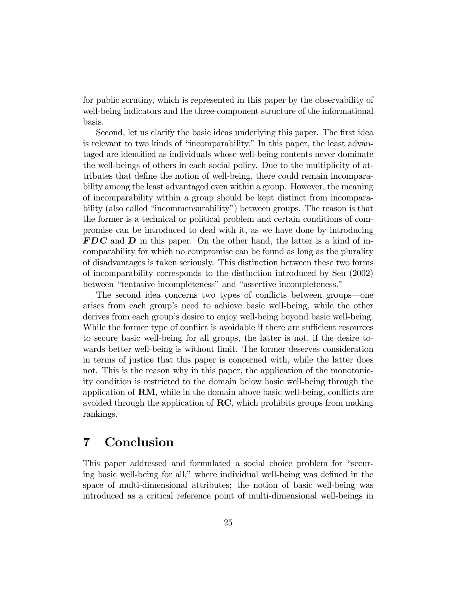for public scrutiny, which is represented in this paper by the observability of well-being indicators and the three-component structure of the informational basis.

Second, let us clarify the basic ideas underlying this paper. The first idea is relevant to two kinds of "incomparability." In this paper, the least advantaged are identified as individuals whose well-being contents never dominate the well-beings of others in each social policy. Due to the multiplicity of attributes that define the notion of well-being, there could remain incomparability among the least advantaged even within a group. However, the meaning of incomparability within a group should be kept distinct from incomparability (also called "incommensurability") between groups. The reason is that the former is a technical or political problem and certain conditions of compromise can be introduced to deal with it, as we have done by introducing  $\boldsymbol{FDC}$  and  $\boldsymbol{D}$  in this paper. On the other hand, the latter is a kind of incomparability for which no compromise can be found as long as the plurality of disadvantages is taken seriously. This distinction between these two forms of incomparability corresponds to the distinction introduced by Sen (2002) between "tentative incompleteness" and "assertive incompleteness."

The second idea concerns two types of conflicts between groups—one arises from each groupís need to achieve basic well-being, while the other derives from each group's desire to enjoy well-being beyond basic well-being. While the former type of conflict is avoidable if there are sufficient resources to secure basic well-being for all groups, the latter is not, if the desire towards better well-being is without limit. The former deserves consideration in terms of justice that this paper is concerned with, while the latter does not. This is the reason why in this paper, the application of the monotonicity condition is restricted to the domain below basic well-being through the application of  $RM$ , while in the domain above basic well-being, conflicts are avoided through the application of RC, which prohibits groups from making rankings.

# 7 Conclusion

This paper addressed and formulated a social choice problem for "securing basic well-being for all," where individual well-being was defined in the space of multi-dimensional attributes; the notion of basic well-being was introduced as a critical reference point of multi-dimensional well-beings in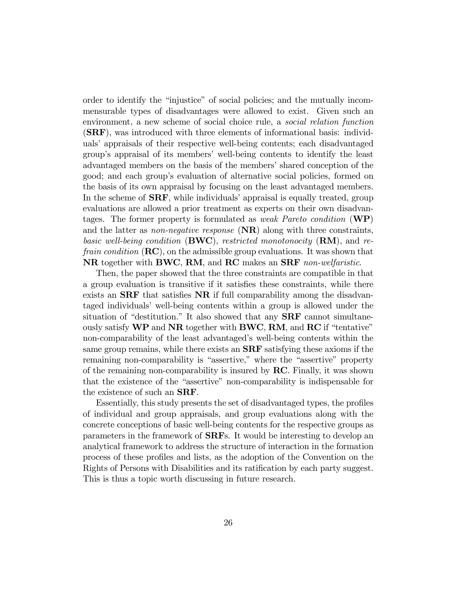order to identify the "injustice" of social policies; and the mutually incommensurable types of disadvantages were allowed to exist. Given such an environment, a new scheme of social choice rule, a social relation function (SRF), was introduced with three elements of informational basis: individualsí appraisals of their respective well-being contents; each disadvantaged group's appraisal of its members' well-being contents to identify the least advantaged members on the basis of the members' shared conception of the good; and each groupís evaluation of alternative social policies, formed on the basis of its own appraisal by focusing on the least advantaged members. In the scheme of **SRF**, while individuals' appraisal is equally treated, group evaluations are allowed a prior treatment as experts on their own disadvantages. The former property is formulated as *weak Pareto condition*  $(WP)$ and the latter as *non-negative response* (NR) along with three constraints, basic well-being condition (BWC), restricted monotonocity (RM), and refrain condition  $(RC)$ , on the admissible group evaluations. It was shown that NR together with BWC, RM, and RC makes an SRF non-welfaristic.

Then, the paper showed that the three constraints are compatible in that a group evaluation is transitive if it satisfies these constraints, while there exists an  $\mathbf{SRF}$  that satisfies  $\mathbf{NR}$  if full comparability among the disadvantaged individualsí well-being contents within a group is allowed under the situation of "destitution." It also showed that any  $SRF$  cannot simultaneously satisfy  $\bf{WP}$  and  $\bf{NR}$  together with  $\bf{BWC}, \bf{RM}$ , and  $\bf{RC}$  if "tentative" non-comparability of the least advantaged's well-being contents within the same group remains, while there exists an **SRF** satisfying these axioms if the remaining non-comparability is "assertive," where the "assertive" property of the remaining non-comparability is insured by  $\mathbf{RC}$ . Finally, it was shown that the existence of the "assertive" non-comparability is indispensable for the existence of such an SRF.

Essentially, this study presents the set of disadvantaged types, the profiles of individual and group appraisals, and group evaluations along with the concrete conceptions of basic well-being contents for the respective groups as parameters in the framework of SRFs. It would be interesting to develop an analytical framework to address the structure of interaction in the formation process of these profiles and lists, as the adoption of the Convention on the Rights of Persons with Disabilities and its ratification by each party suggest. This is thus a topic worth discussing in future research.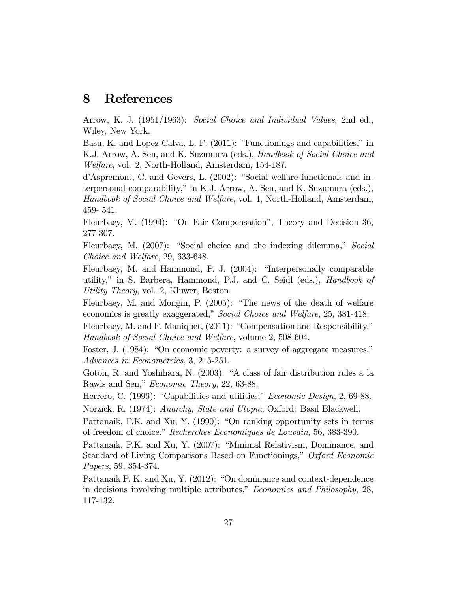# 8 References

Arrow, K. J. (1951/1963): Social Choice and Individual Values, 2nd ed., Wiley, New York.

Basu, K. and Lopez-Calva, L. F.  $(2011)$ : "Functionings and capabilities," in K.J. Arrow, A. Sen, and K. Suzumura (eds.), *Handbook of Social Choice and* Welfare, vol. 2, North-Holland, Amsterdam, 154-187.

d'Aspremont, C. and Gevers, L. (2002): "Social welfare functionals and interpersonal comparability,î in K.J. Arrow, A. Sen, and K. Suzumura (eds.), Handbook of Social Choice and Welfare, vol. 1, North-Holland, Amsterdam, 459- 541.

Fleurbaey, M. (1994): "On Fair Compensation", Theory and Decision 36, 277-307.

Fleurbaey, M. (2007): "Social choice and the indexing dilemma," Social Choice and Welfare, 29, 633-648.

Fleurbaey, M. and Hammond, P. J. (2004): "Interpersonally comparable utility," in S. Barbera, Hammond, P.J. and C. Seidl (eds.), Handbook of Utility Theory, vol. 2, Kluwer, Boston.

Fleurbaey, M. and Mongin, P.  $(2005)$ : "The news of the death of welfare economics is greatly exaggerated," Social Choice and Welfare, 25, 381-418.

Fleurbaey, M. and F. Maniquet,  $(2011)$ : "Compensation and Responsibility," Handbook of Social Choice and Welfare, volume 2, 508-604.

Foster, J. (1984): "On economic poverty: a survey of aggregate measures," Advances in Econometrics, 3, 215-251.

Gotoh, R. and Yoshihara, N.  $(2003)$ : "A class of fair distribution rules a la Rawls and Sen," *Economic Theory*, 22, 63-88.

Herrero, C.  $(1996)$ : "Capabilities and utilities," *Economic Design*, 2, 69-88.

Norzick, R. (1974): Anarchy, State and Utopia, Oxford: Basil Blackwell.

Pattanaik, P.K. and Xu, Y. (1990): "On ranking opportunity sets in terms of freedom of choice,î Recherches Economiques de Louvain, 56, 383-390.

Pattanaik, P.K. and Xu, Y. (2007): "Minimal Relativism, Dominance, and Standard of Living Comparisons Based on Functionings," Oxford Economic Papers, 59, 354-374.

Pattanaik P. K. and Xu, Y. (2012): "On dominance and context-dependence in decisions involving multiple attributes," *Economics and Philosophy*, 28, 117-132.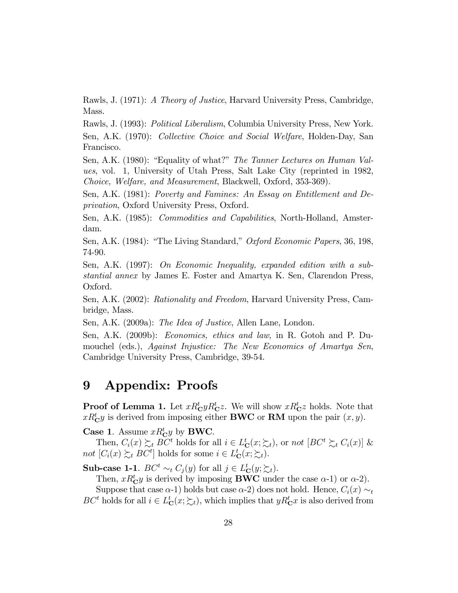Rawls, J. (1971): A Theory of Justice, Harvard University Press, Cambridge, Mass.

Rawls, J. (1993): Political Liberalism, Columbia University Press, New York. Sen, A.K. (1970): Collective Choice and Social Welfare, Holden-Day, San Francisco.

Sen, A.K. (1980): "Equality of what?" The Tanner Lectures on Human Values, vol. 1, University of Utah Press, Salt Lake City (reprinted in 1982, Choice, Welfare, and Measurement, Blackwell, Oxford, 353-369).

Sen, A.K. (1981): Poverty and Famines: An Essay on Entitlement and Deprivation, Oxford University Press, Oxford.

Sen, A.K. (1985): Commodities and Capabilities, North-Holland, Amsterdam.

Sen, A.K.  $(1984)$ : "The Living Standard," *Oxford Economic Papers*, 36, 198, 74-90.

Sen, A.K. (1997): On Economic Inequality, expanded edition with a substantial annex by James E. Foster and Amartya K. Sen, Clarendon Press, Oxford.

Sen, A.K. (2002): Rationality and Freedom, Harvard University Press, Cambridge, Mass.

Sen, A.K. (2009a): The Idea of Justice, Allen Lane, London.

Sen, A.K. (2009b): Economics, ethics and law, in R. Gotoh and P. Dumouchel (eds.), Against Injustice: The New Economics of Amartya Sen, Cambridge University Press, Cambridge, 39-54.

# 9 Appendix: Proofs

**Proof of Lemma 1.** Let  $xR_{\mathbf{C}}^t y R_{\mathbf{C}}^t z$ . We will show  $xR_{\mathbf{C}}^t z$  holds. Note that  $xR_{\mathbf{C}}^{t}y$  is derived from imposing either **BWC** or **RM** upon the pair  $(x, y)$ .

**Case 1.** Assume  $xR_{\mathbf{C}}^t y$  by **BWC**.

Then,  $C_i(x) \succeq_t BC^t$  holds for all  $i \in L^t_c(x; \succeq_t)$ , or not  $[BC^t \succeq_t C_i(x)]$  & not  $[C_i(x) \succsim_t BC^t]$  holds for some  $i \in L^t_{\mathbf{C}}(x; \succsim_t)$ .

**Sub-case 1-1.**  $BC^t \sim_t C_j(y)$  for all  $j \in L^t_{\mathbf{C}}(y; \Sigma_t)$ .

Then,  $xR_{\mathbf{C}}^{t}y$  is derived by imposing **BWC** under the case  $\alpha$ -1) or  $\alpha$ -2).

Suppose that case  $\alpha$ -1) holds but case  $\alpha$ -2) does not hold. Hence,  $C_i(x) \sim_t$  $BC<sup>t</sup>$  holds for all  $i \in L_{\mathbf{C}}^{t}(x; \xi_t)$ , which implies that  $yR_{\mathbf{C}}^{t}x$  is also derived from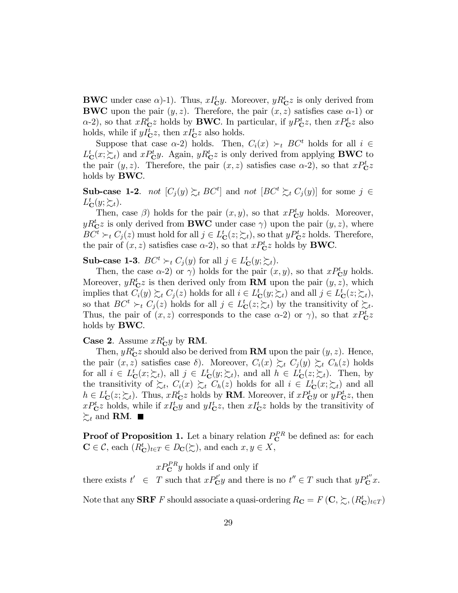**BWC** under case  $\alpha$ )-1). Thus,  $xI_{\mathbf{C}}^t y$ . Moreover,  $yR_{\mathbf{C}}^t z$  is only derived from **BWC** upon the pair  $(y, z)$ . Therefore, the pair  $(x, z)$  satisfies case  $\alpha$ -1) or  $(\alpha - 2)$ , so that  $xR_{\mathbf{C}}^t z$  holds by **BWC**. In particular, if  $yP_{\mathbf{C}}^t z$ , then  $xP_{\mathbf{C}}^t z$  also holds, while if  $yI_{\mathbf{C}}^{t}z$ , then  $xI_{\mathbf{C}}^{t}z$  also holds.

Suppose that case  $\alpha$ -2) holds. Then,  $C_i(x) \succ_t BC^t$  holds for all  $i \in$  $L_{\bf C}^t(x;\xi_t)$  and  $xP_{\bf C}^ty$ . Again,  $yR_{\bf C}^tz$  is only derived from applying **BWC** to the pair  $(y, z)$ . Therefore, the pair  $(x, z)$  satisfies case  $\alpha$ -2), so that  $x P_{\mathbf{C}}^t z$ holds by BWC.

**Sub-case 1-2.** not  $[C_j(y) \succsim_t BC^t]$  and not  $[BC^t \succsim_t C_j(y)]$  for some  $j \in$  $L_{\mathbf{C}}^{t}(y;\succsim_{t}).$ 

Then, case  $\beta$ ) holds for the pair  $(x, y)$ , so that  $x P_{\mathbf{C}}^t y$  holds. Moreover,  $yR_{\mathbf{C}}^{t}z$  is only derived from **BWC** under case  $\gamma$ ) upon the pair  $(y, z)$ , where  $BC^t \succ_t C_j(z)$  must hold for all  $j \in L^t_{\mathbf{C}}(z; \succsim_t)$ , so that  $yP^t_{\mathbf{C}}z$  holds. Therefore, the pair of  $(x, z)$  satisfies case  $\alpha$ -2), so that  $x P_{\mathbf{C}}^t z$  holds by **BWC**.

**Sub-case 1-3.**  $BC^t \succ_t C_j(y)$  for all  $j \in L^t_{\mathbf{C}}(y; \succsim_t)$ .

Then, the case  $\alpha$ -2) or  $\gamma$ ) holds for the pair  $(x, y)$ , so that  $x P_{\mathbf{C}}^t y$  holds. Moreover,  $yR_{\mathbf{C}}^{t}z$  is then derived only from **RM** upon the pair  $(y, z)$ , which implies that  $C_i(y) \succsim_t C_j(z)$  holds for all  $i \in L^t_{\mathbf{C}}(y; \succsim_t)$  and all  $j \in L^t_{\mathbf{C}}(z; \succsim_t)$ , so that  $BC^t \succ_t C_j(z)$  holds for all  $j \in L^t_{\mathbf{C}}(z; \Sigma_t)$  by the transitivity of  $\Sigma_t$ . Thus, the pair of  $(x, z)$  corresponds to the case  $\alpha$ -2) or  $\gamma$ ), so that  $xP_{\mathbf{C}}^t z$ holds by BWC.

**Case 2.** Assume  $xR_{\mathbf{C}}^t y$  by **RM**.

Then,  $yR_{\mathbf{C}}^t z$  should also be derived from **RM** upon the pair  $(y, z)$ . Hence, the pair  $(x, z)$  satisfies case  $\delta$ ). Moreover,  $C_i(x) \succsim_t C_j(y) \succsim_t C_h(z)$  holds for all  $i \in L^t_{\mathbf{C}}(x; \sum_t)$ , all  $j \in L^t_{\mathbf{C}}(y; \sum_t)$ , and all  $h \in L^t_{\mathbf{C}}(z; \sum_t)$ . Then, by the transitivity of  $\succsim_t$ ,  $C_i(x) \succsim_t C_h(z)$  holds for all  $i \in L^t_{\mathbf{C}}(x; \succsim_t)$  and all  $h \in L^t_{\mathbf{C}}(z; \succsim_t)$ . Thus,  $xR^t_{\mathbf{C}}z$  holds by **RM**. Moreover, if  $xP^t_{\mathbf{C}}y$  or  $yP^t_{\mathbf{C}}z$ , then  $xP_{\mathbf{C}}^{t}z$  holds, while if  $xI_{\mathbf{C}}^{t}y$  and  $yI_{\mathbf{C}}^{t}z$ , then  $xI_{\mathbf{C}}^{t}z$  holds by the transitivity of  $\sum_t$  and **RM**.  $\blacksquare$ 

**Proof of Proposition 1.** Let a binary relation  $P_{\mathbf{C}}^{PR}$  be defined as: for each  $\mathbf{C} \in \mathcal{C}$ , each  $(R^t_{\mathbf{C}})_{t \in T} \in D_{\mathbf{C}}(\succsim)$ , and each  $x, y \in X$ ,

 $x P_{\bf C}^{PR} y$  holds if and only if

there exists  $t' \in T$  such that  $xP_{\mathbf{C}}^{t'}y$  and there is no  $t'' \in T$  such that  $yP_{\mathbf{C}}^{t''}x$ .

Note that any **SRF** F should associate a quasi-ordering  $R_{\mathbf{C}} = F(\mathbf{C}, \succsim, (R_{\mathbf{C}}^t)_{t \in T})$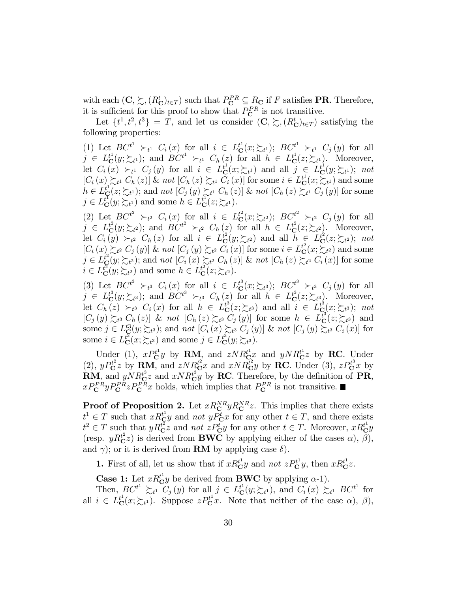with each  $(C, \succsim, (R_{\mathbf{C}}^t)_{t \in T})$  such that  $P_{\mathbf{C}}^{PR} \subseteq R_{\mathbf{C}}$  if F satisfies **PR**. Therefore, it is sufficient for this proof to show that  $P_{\mathbf{C}}^{PR}$  is not transitive.

Let  $\{t^1, t^2, t^3\} = T$ , and let us consider  $(C, \succsim, (R_{\mathbf{C}}^t)_{t \in T})$  satisfying the following properties:

(1) Let  $BC^{t^1} \succ_{t^1} C_i(x)$  for all  $i \in L^t_{\mathbf{C}}(x; \sum_{t^1})$ ;  $BC^{t^1} \succ_{t^1} C_j(y)$  for all  $j \in L_{\mathbf{C}}^{t^1}(y; \Sigma_{t^1});$  and  $BC^{t^1} \succ_{t^1} C_h(z)$  for all  $h \in L_{\mathbf{C}}^{t^1}(z; \Sigma_{t^1}).$  Moreover, let  $C_i(x) \succ_{t} C_j(y)$  for all  $i \in L^{\{1\}}_{\mathbf{C}}(x; \succsim_{t}^{\{1\}})$  and all  $j \in L^{\{1\}}_{\mathbf{C}}(y; \succsim_{t}^{\{1\}})$ ; not  $[C_i(x)]\xi_t$ <sup>1</sup>,  $C_h(z)$  & not  $[C_h(z)]\xi_t$ <sup>1</sup>,  $C_i(x)$  for some  $i\in L^{\{t\}}_{\mathbf{C}}(x;\xi_t)$  and some  $h \in L^{\{t\}}_{\mathbf{C}}(z;\mathbf{L}^{t})$ ; and not  $[C_j(y)\mathbf{L}^{t}]$   $C_h(z)$  & not  $[C_h(z)\mathbf{L}^{t}]$   $C_j(y)$  for some  $j \in L_{\mathbf{C}}^{t^1}(y; \Sigma_{t^1})$  and some  $h \in L_{\mathbf{C}}^{t^1}(z; \Sigma_{t^1})$ .

(2) Let  $BC^{t^2} \succ_{t^2} C_i(x)$  for all  $i \in L^t_{\mathbf{C}}(x; \sum_{i}^{\infty}t^2); BC^{t^2} \succ_{t^2} C_j(y)$  for all  $j \in L_{\mathbf{C}}^{t^2}(y; \Sigma_{t^2});$  and  $BC^{t^2} \succ_{t^2} C_h(z)$  for all  $h \in L_{\mathbf{C}}^{t^2}(z; \Sigma_{t^2}).$  Moreover, let  $C_i(y) \succ_{t^2} C_h(z)$  for all  $i \in L^{\{t^2\}}_{\mathbf{C}}(y; \succcurlyeq_{t^2})$  and all  $h \in L^{\{t^2\}}_{\mathbf{C}}(z; \succcurlyeq_{t^2})$ ; not  $[C_i(x)]\sum_{i=1}^{\infty}C_j(y)]$  & not  $[C_j(y)]\sum_{i=1}^{\infty}C_i(x)]$  for some  $i\in L_{\mathbf{C}}^{t^2}(x;\sum_{i=1}^{\infty}L_i)$  and some  $j \in L^{\{t\}}_{\mathbf{C}}(y; \sum_{t}^{\infty}y)$ ; and not  $[C_i(x) \sum_{t}^{\infty}C_k(z)]$  & not  $[C_h(z) \sum_{t}^{\infty}C_i(x)]$  for some  $i \in L_{\mathbf{C}}^{t^2}(y; \Sigma_{t^2})$  and some  $h \in L_{\mathbf{C}}^{t^2}(z; \Sigma_{t^2})$ .

(3) Let  $BC^{t^3} \succ_{t^3} C_i(x)$  for all  $i \in L^{\{t^3\}}_{\mathbf{C}}(x; \sum_{i}^{\infty} t^3)$ ;  $BC^{t^3} \succ_{t^3} C_j(y)$  for all  $j \in L_{\mathbf{C}}^{t^3}(y; \Sigma_{t^3});$  and  $BC^{t^3} \succ_{t^3} C_h(z)$  for all  $h \in L_{\mathbf{C}}^{t^3}(z; \Sigma_{t^3}).$  Moreover, let  $C_h(z) \succ_{t^3} C_i(x)$  for all  $h \in L^{t^3}(z; \succsim_{t^3})$  and all  $i \in L^{t^3}(x; \succsim_{t^3})$ ; not  $[C_j(y) \succsim_{t^3} C_h(z)]$  & not  $[C_h(z) \succsim_{t^3} C_j(y)]$  for some  $h \in L_C^{\overline{t^3}}(z; \succsim_{t^3})$  and some  $j \in L_{\mathcal{C}}^{t3}(y; \Sigma_{t3})$ ; and not  $[C_i(x) \Sigma_{t3} C_j(y)]$  & not  $[C_j(y) \Sigma_{t3} C_i(x)]$  for some  $i \in L_{\mathbf{C}}^{t^3}(x; \xi_t)$  and some  $j \in L_{\mathbf{C}}^{t^3}(y; \xi_t)$ .

Under (1),  $x P_{\mathbf{C}}^{t^1} y$  by **RM**, and  $z N R_{\mathbf{C}}^{t^1} x$  and  $y N R_{\mathbf{C}}^{t^1} z$  by **RC**. Under (2),  $y P_C^{\{t\}} z$  by **RM**, and  $z N R_C^{\{t\}} x$  and  $x N R_C^{\{t\}} y$  by **RC**. Under (3),  $z P_C^{\{t\}} x$  by **RM**, and  $yNR_C^{t^3}z$  and  $xNR_C^{t^3}y$  by **RC**. Therefore, by the definition of **PR**,  $x P_{\bf C}^{PR} y P_{\bf C}^{PR} z P_{\bf C}^{PR} x$  holds, which implies that  $P_{\bf C}^{PR}$  is not transitive.

**Proof of Proposition 2.** Let  $xR_{\mathbf{C}}^{NR}yR_{\mathbf{C}}^{NR}z$ . This implies that there exists  $t^1 \in T$  such that  $xR_C^{t^1}y$  and not  $yP_C^t x$  for any other  $t \in T$ , and there exists  $t^2 \in T$  such that  $yR_{\mathbf{C}}^{t^2}z$  and not  $zP_{\mathbf{C}}^{t}y$  for any other  $t \in T$ . Moreover,  $xR_{\mathbf{C}}^{t^1}y$ (resp.  $yR_C^{\ell^2}(z)$  is derived from **BWC** by applying either of the cases  $\alpha$ ),  $\beta$ ), and  $\gamma$ ); or it is derived from **RM** by applying case  $\delta$ ).

**1.** First of all, let us show that if  $xR_C^{t^1}y$  and not  $zP_C^{t^1}y$ , then  $xR_C^{t^1}z$ .

**Case 1:** Let  $xR_C^{t^1}y$  be derived from **BWC** by applying  $\alpha$ -1).

Then,  $BC^{t^1} \succsim_{t^1} C_j(y)$  for all  $j \in L_{\mathbf{C}}^{t^1}(y; \succsim_{t^1})$ , and  $C_i(x) \succsim_{t^1} BC^{t^1}$  for all  $i \in L_{\mathbf{C}}^{t^1}(x; \xi_{t^1})$ . Suppose  $zP_{\mathbf{C}}^{t^1}x$ . Note that neither of the case  $\alpha$ ,  $\beta$ ,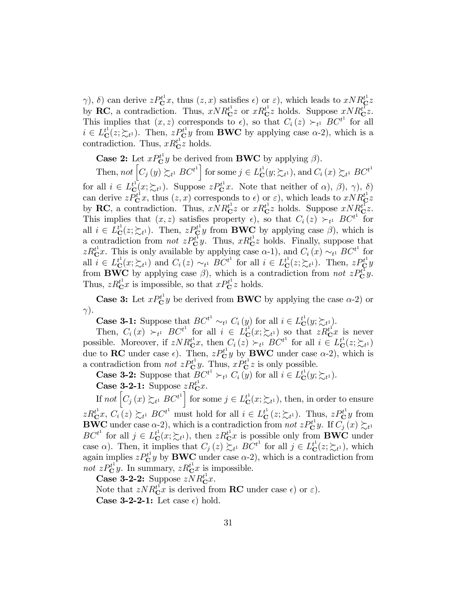$(\gamma)$ ,  $\delta$ ) can derive  $zP_{\bf C}^{t^1}x$ , thus  $(z, x)$  satisfies  $\epsilon$ ) or  $\varepsilon$ ), which leads to  $xNR_{\bf C}^{t^1}z$ by **RC**, a contradiction. Thus,  $xNR_C^{t^1}z$  or  $xR_C^{t^1}z$  holds. Suppose  $xNR_C^{t^1}z$ . This implies that  $(x, z)$  corresponds to  $\epsilon$ ), so that  $C_i(z) \succ_{t^1} BC^{t^1}$  for all  $i \in L_{\mathbf{C}}^{t^1}(z; \sum_{t^1})$ . Then,  $zP_{\mathbf{C}}^{t^1}y$  from **BWC** by applying case  $\alpha$ -2), which is a contradiction. Thus,  $xR_C^{t^1}z$  holds.

**Case 2:** Let  $x P_{\mathbf{C}}^{t^1} y$  be derived from **BWC** by applying  $\beta$ ).

Then, not  $\left[C_j(y)\gtrsim_{t^1}BC^{t^1}\right]$  for some  $j\in L_{\mathbf{C}}^{t^1}(y;\gtrsim_{t^1})$ , and  $C_i(x)\gtrsim_{t^1}BC^{t^1}$ for all  $i \in L_{\mathbf{C}}^{t^1}(x; \Sigma_{t^1})$ . Suppose  $zP_{\mathbf{C}}^{t^1}x$ . Note that neither of  $\alpha$ ,  $\beta$ ,  $\gamma$ ,  $\delta$ can derive  $zP_{\mathbf{C}}^{t^1}x$ , thus  $(z, x)$  corresponds to  $\epsilon$ ) or  $\varepsilon$ ), which leads to  $xNR_{\mathbf{C}}^{t^1}z$ by **RC**, a contradiction. Thus,  $xNR_C^{t^1}z$  or  $xR_C^{t^1}z$  holds. Suppose  $xNR_C^{t^1}z$ . This implies that  $(x, z)$  satisfies property  $\epsilon$ , so that  $C_i (z) \succ_{t_i} BC^{t^1}$  for all  $i \in L_{\mathbf{C}}^{t^1}(z; \xi_{t^1})$ . Then,  $zP_{\mathbf{C}}^{t^1}y$  from **BWC** by applying case  $\beta$ ), which is a contradiction from *not*  $zP_{\mathbf{C}}^{t^{\mathrm{T}}}y$ . Thus,  $xR_{\mathbf{C}}^{t^{\mathrm{T}}}z$  holds. Finally, suppose that  $zR_{\mathbf{C}}^{t^1}x$ . This is only available by applying case  $\alpha$ -1), and  $C_i(x) \sim_t B C^{t^1}$  for all  $i \in L_{\mathbf{C}}^{t^1}(x; \xi_{t^1})$  and  $C_i(z) \sim_t B\mathbb{C}^{t^1}$  for all  $i \in L_{\mathbf{C}}^{t^1}(z; \xi_{t^1})$ . Then,  $zP_{\mathbf{C}}^{t^1}y$ from **BWC** by applying case  $\beta$ ), which is a contradiction from not  $zP_{\mathbf{C}}^{i^{\mathrm{T}}}y$ . Thus,  $zR_C^{t^1}x$  is impossible, so that  $xP_C^{t^1}z$  holds.

**Case 3:** Let  $x P_{\mathbf{C}}^{t^1} y$  be derived from **BWC** by applying the case  $\alpha$ -2) or  $\gamma$ ).

**Case 3-1:** Suppose that  $BC^{t^1} \sim_{t^1} C_i(y)$  for all  $i \in L_{\mathbf{C}}^{t^1}(y; \sum_{t^1})$ .

Then,  $C_i(x) \succ_{t} B C^{t^1}$  for all  $i \in L^{t^1}_{\mathbf{C}}(x; \succsim_{t^1})$  so that  $z R^{t^1}_{\mathbf{C}}(x)$  is never possible. Moreover, if  $zNR_C^{t^1}x$ , then  $C_i(z) \succ_t B C^{t^1}$  for all  $i \in L^t_{\mathbf{C}}(z; \succsim_{t^1} I)$ due to **RC** under case  $\epsilon$ ). Then,  $zP_{\mathbf{C}}^{t^1}y$  by **BWC** under case  $\alpha$ -2), which is a contradiction from *not*  $zP_{\mathbf{C}}^{t^1}y$ . Thus,  $xP_{\mathbf{C}}^{t^1}z$  is only possible.

**Case 3-2:** Suppose that  $BC^{t^1} \succ_{t^1} C_i(y)$  for all  $i \in L_{\mathbf{C}}^{t^1}(y; \succsim_{t^1} ).$ 

**Case 3-2-1:** Suppose  $zR_C^{t^1}x$ .

If not  $\left[C_j(x)\sum_{t^1} BC^{t^1}\right]$  for some  $j \in L_{\mathbf{C}}^{t^1}(x;\sum_{t^1})$ , then, in order to ensure  $zR_{\mathbf{C}}^{t^1}x, C_i(z) \succsim_{t^1} BC_{\mathbf{C}}^{t^1}$  must hold for all  $i \in L_{\mathbf{C}}^{t^1}(z; \succsim_{t^1})$ . Thus,  $zP_{\mathbf{C}}^{t^1}y$  from **BWC** under case  $\alpha$ -2), which is a contradiction from not  $zP_{\mathbf{C}}^{t^1}y$ . If  $C_j(x) \succsim_{t^1}$  $BC^{t^1}$  for all  $j \in L_{\mathbf{C}}^{t^1}(x; \xi_{t^1})$ , then  $zR_{\mathbf{C}}^{t^1}x$  is possible only from **BWC** under case  $\alpha$ ). Then, it implies that  $C_j(z) \sum_{t} B C^{t}$  for all  $j \in L_{\mathbf{C}}^{t} (z; \sum_{t} i)$ , which again implies  $zP_{\mathbf{C}}^{t^1}y$  by **BWC** under case  $\alpha$ -2), which is a contradiction from not  $zP_{\mathbf{C}}^{t^1}y$ . In summary,  $zR_{\mathbf{C}}^{t^1}x$  is impossible.

**Case 3-2-2:** Suppose  $zNR_C^{t^1}x$ .

Note that  $zNR_C^{t^1}x$  is derived from **RC** under case  $\epsilon$ ) or  $\epsilon$ ).

**Case 3-2-2-1:** Let case  $\epsilon$ ) hold.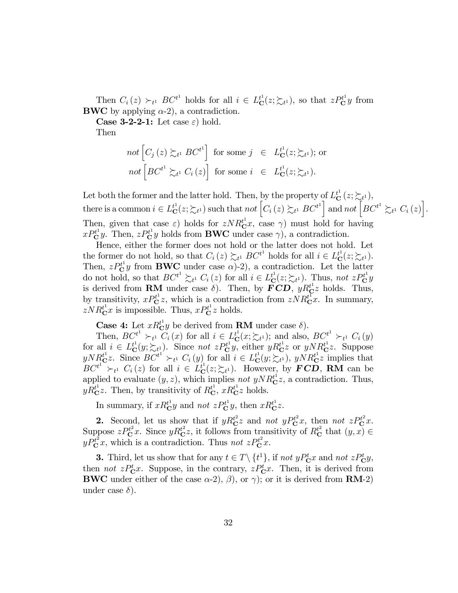Then  $C_i(z) \succ_{t} B C^{t^1}$  holds for all  $i \in L_{\mathbf{C}}^{t^1}(z; \succsim_{t^1})$ , so that  $z P_{\mathbf{C}}^{t^1} y$  from **BWC** by applying  $\alpha$ -2), a contradiction.

**Case 3-2-2-1:** Let case  $\varepsilon$ ) hold.

Then

$$
not \left[C_j(z) \succsim_{t^1} BC^{t^1}\right] for some j \in L_{\mathbf{C}}^{t^1}(z; \succsim_{t^1}); or
$$
  

$$
not \left[ BC^{t^1} \succsim_{t^1} C_i(z) \right] for some i \in L_{\mathbf{C}}^{t^1}(z; \succsim_{t^1}).
$$

Let both the former and the latter hold. Then, by the property of  $L_{\mathbf{C}}^{t^1}(z;\xi_{t^1}),$ there is a common  $i \in L_{\mathbf{C}}^{t^1}(z; \xi_{t^1})$  such that  $not \left[C_i(z) \xi_{t^1} BC^{t^1}\right]$  and  $not \left[BC^{t^1} \xi_{t^1} C_i(z)\right]$ . Then, given that case  $\varepsilon$ ) holds for  $zNR_C^{t^1}x$ , case  $\gamma$ ) must hold for having  $x P_{\mathbf{C}}^{t} y$ . Then,  $z P_{\mathbf{C}}^{t} y$  holds from **BWC** under case  $\gamma$ , a contradiction.

Hence, either the former does not hold or the latter does not hold. Let the former do not hold, so that  $C_i(z) \succsim_{t} B C^{t^1}$  holds for all  $i \in L_{\mathbf{C}}^{t^1}(z; \succsim_{t^1})$ . Then,  $zP_{\mathbf{C}}^{t^1}y$  from **BWC** under case  $\alpha$ )-2), a contradiction. Let the latter do not hold, so that  $BC^{t^1} \succsim_{t^1} C_i(z)$  for all  $i \in L^t_{\mathbf{C}}(z; \succsim_{t^1})$ . Thus, not  $zP_{\mathbf{C}}^{t^1}y$ is derived from **RM** under case  $\delta$ ). Then, by  $\vec{FCD}$ ,  $yR_C^{t_1}z$  holds. Thus, by transitivity,  $x P_{\mathbf{C}}^{t^1} z$ , which is a contradiction from  $z N R_{\mathbf{C}}^{t^1} x$ . In summary,  $zNR_C^{t^1}x$  is impossible. Thus,  $xP_C^{t^1}z$  holds.

**Case 4:** Let  $xR_{\mathbf{C}}^{t^1}y$  be derived from **RM** under case  $\delta$ ).

Then,  $BC^{t^1} \succ_{t^1} C_i(x)$  for all  $i \in L^{\mathcal{U}}_{\mathbf{C}}(x; \succsim_{t^1})$ ; and also,  $BC^{t^1} \succ_{t^1} C_i(y)$ for all  $i \in L_{\mathbf{C}}^{t^1}(y; \sum_{\alpha}^{t^1})$ . Since not  $zP_{\mathbf{C}}^{t^1}y$ , either  $yR_{\mathbf{C}}^{t^1}z$  or  $yNR_{\mathbf{C}}^{t^1}z$ . Suppose  $yNR_{\mathbf{C}}^{t^1}z$ . Since  $BC^{t^1} \succ_{t^1} C_i(y)$  for all  $i \in L_{\mathbf{C}}^{t^1}(y; \succcurlyeq_{t^1}), yNR_{\mathbf{C}}^{t^1}z$  implies that  $BC^{t^1} \succ_{t^1} C_i(z)$  for all  $i \in L_{\mathbf{C}}^{t^1}(z; \Sigma_{t^1})$ . However, by  $\mathbf{FCD}$ , **RM** can be applied to evaluate  $(y, z)$ , which implies not  $yNR_C^{t^1}z$ , a contradiction. Thus,  $yR_{\mathbf{C}}^{t^1}z$ . Then, by transitivity of  $R_{\mathbf{C}}^{t^1}$ ,  $xR_{\mathbf{C}}^{t^1}z$  holds.

In summary, if  $xR_C^{t^1}y$  and not  $zP_C^{t^1}y$ , then  $xR_C^{t^1}z$ .

**2.** Second, let us show that if  $yR_C^{t^2}z$  and not  $yP_C^{t^2}x$ , then not  $zP_C^{t^2}x$ . Suppose  $zP_{\mathbf{C}}^{t^2}x$ . Since  $yR_{\mathbf{C}}^{t^2}z$ , it follows from transitivity of  $R_{\mathbf{C}}^{t^2}$  that  $(y, x) \in$  $yP_{\mathbf{C}}^{t^2}x$ , which is a contradiction. Thus not  $zP_{\mathbf{C}}^{t^2}x$ .

**3.** Third, let us show that for any  $t \in T \setminus \{t^1\}$ , if not  $yP_{\mathbf{C}}^tx$  and not  $zP_{\mathbf{C}}^ty$ , then *not*  $zP_{\mathbf{C}}^t x$ . Suppose, in the contrary,  $zP_{\mathbf{C}}^t x$ . Then, it is derived from **BWC** under either of the case  $\alpha$ -2),  $\beta$ , or  $\gamma$ ; or it is derived from **RM**-2) under case  $\delta$ ).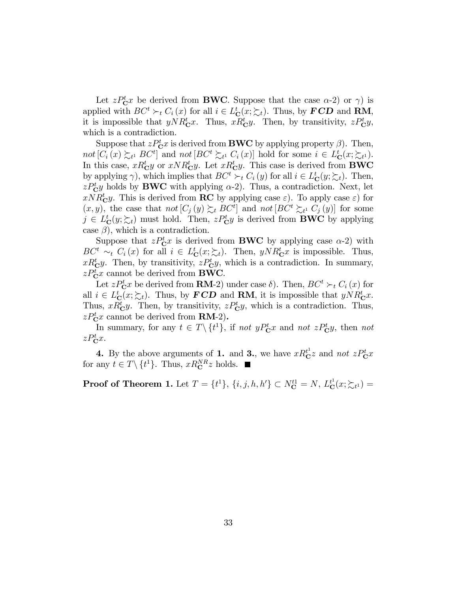Let  $zP_{\mathbf{C}}^{t}x$  be derived from **BWC**. Suppose that the case  $\alpha$ -2) or  $\gamma$ ) is applied with  $BC^t \succ_t C_i(x)$  for all  $i \in L^t_{\mathbf{C}}(x; \succsim_t)$ . Thus, by  $\mathbf{FCD}$  and **RM**, it is impossible that  $yNR_{\mathbf{C}}^t x$ . Thus,  $xR_{\mathbf{C}}^t y$ . Then, by transitivity,  $zP_{\mathbf{C}}^t y$ , which is a contradiction.

Suppose that  $zP_{\mathbf{C}}^{t}x$  is derived from **BWC** by applying property  $\beta$ ). Then, not  $[C_i(x) \succsim_{t^1} B C^t]$  and not  $[BC^t \succsim_{t^1} C_i(x)]$  hold for some  $i \in L^t_{\mathbf{C}}(x; \succsim_{t^1})$ . In this case,  $xR_{\mathbf{C}}^t y$  or  $xNR_{\mathbf{C}}^t y$ . Let  $xR_{\mathbf{C}}^t y$ . This case is derived from **BWC** by applying  $\gamma$ , which implies that  $BC^t \succ_t C_i(y)$  for all  $i \in L^t_{\mathbf{C}}(y; \succsim_t)$ . Then,  $zP_{\mathbf{C}}^t y$  holds by **BWC** with applying  $\alpha$ -2). Thus, a contradiction. Next, let  $xNR_{\mathbf{C}}^t y$ . This is derived from **RC** by applying case  $\varepsilon$ ). To apply case  $\varepsilon$ ) for  $(x, y)$ , the case that not  $[C_j(y) \succsim_t BC^t]$  and not  $[BC^t \succsim_t C_j(y)]$  for some  $j \in L^t_{\mathbf{C}}(y; \xi_t)$  must hold. Then,  $zP_{\mathbf{C}}^t y$  is derived from **BWC** by applying case  $\beta$ , which is a contradiction.

Suppose that  $zP_{\mathbf{C}}^{t}x$  is derived from **BWC** by applying case  $\alpha$ -2) with  $BC^t \sim_t C_i(x)$  for all  $i \in L^t_{\mathbf{C}}(x; \succcurlyeq_t)$ . Then,  $yNR^t_{\mathbf{C}}x$  is impossible. Thus,  $xR_{\mathbf{C}}^t$ y. Then, by transitivity,  $zP_{\mathbf{C}}^t$ y, which is a contradiction. In summary,  $zP_{\mathbf{C}}^{t}x$  cannot be derived from **BWC**.

Let  $zP_{\mathbf{C}}^t x$  be derived from **RM-**2) under case  $\delta$ . Then,  $BC^t \succ_t C_i(x)$  for all  $i \in L^t_{\mathbf{C}}(x; \Sigma_t)$ . Thus, by  $\mathbf{FCD}$  and **RM**, it is impossible that  $yNR^t_{\mathbf{C}}x$ . Thus,  $xR_{\mathbf{C}}^{t}y$ . Then, by transitivity,  $zP_{\mathbf{C}}^{t}y$ , which is a contradiction. Thus,  $zP_{\mathbf{C}}^{t}x$  cannot be derived from **RM-2**).

In summary, for any  $t \in T \setminus \{t^1\}$ , if not  $yP_{\mathbf{C}}^tx$  and not  $zP_{\mathbf{C}}^ty$ , then not  $zP_{\mathbf{C}}^t x$ .

**4.** By the above arguments of 1. and 3., we have  $xR_C^{t^1}z$  and not  $zP_C^t x$ for any  $t \in T \setminus \{t^1\}$ . Thus,  $xR_{\mathbf{C}}^{NR}z$  holds.

**Proof of Theorem 1.** Let  $T = \{t^1\}, \{i, j, h, h'\} \subset N_{\mathbf{C}}^{t1} = N, L_{\mathbf{C}}^{t1}(x; \succcurlyeq_{t^1}) =$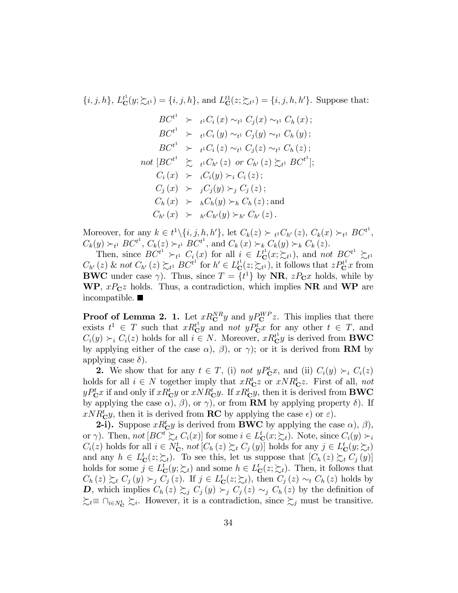$\{i, j, h\}, L_{\mathbf{C}}^{t}(y; \Sigma_{t}) = \{i, j, h\}, \text{ and } L_{\mathbf{C}}^{t}(z; \Sigma_{t}) = \{i, j, h, h'\}.$  Suppose that:

$$
BC^{t} \succ {}_{t}{}^{1}C_{i}(x) \sim_{t}{}^{1}C_{j}(x) \sim_{t}{}^{1}C_{h}(x);
$$
  
\n
$$
BC^{t} \succ {}_{t}{}^{1}C_{i}(y) \sim_{t}{}^{1}C_{j}(y) \sim_{t}{}^{1}C_{h}(y);
$$
  
\n
$$
BC^{t} \succ {}_{t}{}^{1}C_{i}(z) \sim_{t}{}^{1}C_{j}(z) \sim_{t}{}^{1}C_{h}(z);
$$
  
\nnot 
$$
[BC^{t} \succsim {}_{t}{}^{1}C_{h'}(z) \text{ or } C_{h'}(z) \succsim_{t}{}^{1}BC^{t}];
$$
  
\n
$$
C_{i}(x) \succsim {}_{i}C_{i}(y) \succ_{i} C_{i}(z);
$$
  
\n
$$
C_{j}(x) \succsim {}_{j}C_{j}(y) \succ_{j} C_{j}(z);
$$
  
\n
$$
C_{h}(x) \succsim {}_{h}C_{h}(y) \succ_{h} C_{h}(z);
$$
and  
\n
$$
C_{h'}(x) \succsim {}_{h'}C_{h'}(y) \succ_{h'} C_{h'}(z).
$$

Moreover, for any  $k \in t^1 \setminus \{i, j, h, h'\}$ , let  $C_k(z) \succ_{t^1} C_{h'}(z)$ ,  $C_k(x) \succ_{t^1} B C^{t^1}$ ,  $C_k(y) \succ_{t^1} B C^{t^1}, C_k(z) \succ_{t^1} B C^{t^1}, \text{ and } C_k(x) \succ_k C_k(y) \succ_k C_k(z).$ 

Then, since  $BC^{t^1} >_{t^1} C_i(x)$  for all  $i \in L_{\mathbf{C}}^{t^1}(x; \Sigma_{t^1})$ , and not  $BC^{t^1} \Sigma_{t^1}$  $C_{h'}(z)$  & not  $C_{h'}(z) \succsim_{t} B C^{t^1}$  for  $h' \in L_{\mathbf{C}}^{t^1}(z; \succsim_{t^1})$ , it follows that  $z P_{\mathbf{C}}^{t^1} x$  from **BWC** under case  $\gamma$ ). Thus, since  $T = \{t^1\}$  by **NR**,  $zP_{\mathbf{C}}x$  holds, while by  $WP, xP_{\mathbf{C}}z$  holds. Thus, a contradiction, which implies  $NR$  and  $WP$  are incompatible.

**Proof of Lemma 2. 1.** Let  $xR_{\mathbf{C}}^{NR}y$  and  $yP_{\mathbf{C}}^{WP}z$ . This implies that there exists  $t^1 \in T$  such that  $xR_{\mathbf{C}}^{t^1}y$  and not  $yP_{\mathbf{C}}^{t}x$  for any other  $t \in T$ , and  $C_i(y) \succ_i C_i(z)$  holds for all  $i \in N$ . Moreover,  $xR_C^{t_1}y$  is derived from **BWC** by applying either of the case  $\alpha$ ,  $\beta$ , or  $\gamma$ ; or it is derived from **RM** by applying case  $\delta$ ).

**2.** We show that for any  $t \in T$ , (i) not  $yP_{\mathbf{C}}^tx$ , and (ii)  $C_i(y) \succ_i C_i(z)$ holds for all  $i \in N$  together imply that  $xR_{\mathbf{C}}^t z$  or  $xNR_{\mathbf{C}}^t z$ . First of all, not  $yP_{\bf C}^tx$  if and only if  $xR_{\bf C}^ty$  or  $xNR_{\bf C}^ty$ . If  $xR_{\bf C}^ty$ , then it is derived from **BWC** by applying the case  $\alpha$ ,  $\beta$ , or  $\gamma$ , or from **RM** by applying property  $\delta$ . If  $xNR_{\mathbf{C}}^{t}y$ , then it is derived from **RC** by applying the case  $\epsilon$ ) or  $\varepsilon$ ).

**2-i).** Suppose  $xR_{\mathbf{C}}^{t}y$  is derived from **BWC** by applying the case  $\alpha$ ,  $\beta$ , or  $\gamma$ ). Then, not  $[BC^t \succsim_t C_i(x)]$  for some  $i \in L^t_{\mathbf{C}}(x; \succsim_t)$ . Note, since  $C_i(y) \succ_i$  $C_i(z)$  holds for all  $i \in N_{\mathbf{C}}^t$ , not  $[C_h(z) \succsim_t C_j(y)]$  holds for any  $j \in L_{\mathbf{C}}^t(y; \succsim_t)$ and any  $h \in L_{\mathbf{C}}^{t}(z; \sum_{t})$ . To see this, let us suppose that  $[C_{h}(z) \sum_{t} C_{j}(y)]$ holds for some  $j \in L^t_{\mathbf{C}}(y; \xi_t)$  and some  $h \in L^t_{\mathbf{C}}(z; \xi_t)$ . Then, it follows that  $C_h(z) \succsim_t C_j(y) \succ_j C_j(z)$ . If  $j \in L^t_{\mathbf{C}}(z; \succsim_t)$ , then  $C_j(z) \sim_t C_h(z)$  holds by **D**, which implies  $C_h(z) \succeq_i C_j(y) \succeq_i C_j(z) \simeq_i C_h(z)$  by the definition of  $\zeta_t \equiv \bigcap_{i \in N_{\mathbf{C}}^t} \zeta_i$ . However, it is a contradiction, since  $\zeta_j$  must be transitive.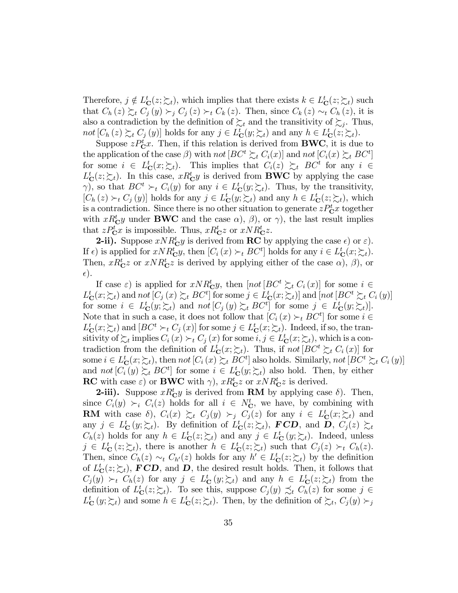Therefore,  $j \notin L_{\mathbf{C}}^{t}(z; \Sigma_{t}),$  which implies that there exists  $k \in L_{\mathbf{C}}^{t}(z; \Sigma_{t})$  such that  $C_h(z) \succsim_t C_j(y) \succ_j C_j(z) \succ_t C_k(z)$ . Then, since  $C_k(z) \sim_t C_h(z)$ , it is also a contradiction by the definition of  $\succsim_t$  and the transitivity of  $\succsim_j$ . Thus, not  $[C_h(z) \succsim_t C_j(y)]$  holds for any  $j \in L^t_{\mathbf{C}}(y; \succsim_t)$  and any  $h \in L^t_{\mathbf{C}}(z; \succsim_t)$ .

Suppose  $zP_{\mathbf{C}}^{t}x$ . Then, if this relation is derived from **BWC**, it is due to the application of the case  $\beta$ ) with not  $[BC^t \succsim_t C_i(x)]$  and not  $[C_i(x) \succsim_t BC^t]$ for some  $i \in L^t_{\mathbf{C}}(x; \xi_t)$ . This implies that  $C_i(z) \xi_t BC^t$  for any  $i \in$  $L_{\mathbf{C}}^{t}(z;\Sigma_{t})$ . In this case,  $xR_{\mathbf{C}}^{t}y$  is derived from **BWC** by applying the case  $\gamma$ ), so that  $BC^t \succ_t C_i(y)$  for any  $i \in L^t_{\mathbf{C}}(y; \Sigma_t)$ . Thus, by the transitivity,  $[C_h(z) \succ_t C_j(y)]$  holds for any  $j \in L^t_{\mathbf{C}}(y; \succsim_t)$  and any  $h \in L^t_{\mathbf{C}}(z; \succsim_t)$ , which is a contradiction. Since there is no other situation to generate  $zP_{\mathbf{C}}^{t}x$  together with  $xR_{\mathbf{C}}^{t}y$  under **BWC** and the case  $\alpha$ ,  $\beta$ , or  $\gamma$ , the last result implies that  $zP_{\mathbf{C}}^{t}x$  is impossible. Thus,  $xR_{\mathbf{C}}^{t}z$  or  $xNR_{\mathbf{C}}^{t}z$ .

**2-ii).** Suppose  $xNR_{\mathbf{C}}^{t}y$  is derived from **RC** by applying the case  $\epsilon$ ) or  $\varepsilon$ ). If  $\epsilon$ ) is applied for  $xNR_C^t y$ , then  $[C_i(x) \succ_t BC^t]$  holds for any  $i \in L^t_{\mathbf{C}}(x; \succsim_t)$ . Then,  $xR_{\mathbf{C}}^{t}z$  or  $xNR_{\mathbf{C}}^{t}z$  is derived by applying either of the case  $\alpha$ ),  $\beta$ ), or  $\epsilon$ ).

If case  $\varepsilon$ ) is applied for  $xNR_{\mathbf{C}}^t y$ , then  $[not [BC^t \succsim_t C_i (x)]$  for some  $i \in$  $L_{\mathbf{C}}^{t}(x;\succcurlyeq _{t})$  and not  $[C_{j}(x)\succsim_{t} BC^{t}]$  for some  $j\in L_{\mathbf{C}}^{t}(x;\succcurlyeq _{t})]$  and  $[not [BC^{t}\succsim_{t} C_{i}(y)]$ for some  $i \in L^t_{\mathbf{C}}(y; \Sigma_t)$  and  $not [C_j(y) \Sigma_t BC^t]$  for some  $j \in L^t_{\mathbf{C}}(y; \Sigma_t)].$ Note that in such a case, it does not follow that  $[C_i(x) \succ_t BC^t]$  for some  $i \in$  $L_{\mathbf{C}}^{t}(x;\succcurlyeq _{t})$  and  $[BC^{t}\succcurlyeq _{t} C_{j}(x)]$  for some  $j\in L_{\mathbf{C}}^{t}(x;\succcurlyeq _{t})$ . Indeed, if so, the transitivity of  $\sum_{i}$  implies  $C_i(x) \succ_t C_j(x)$  for some  $i, j \in L^t_{\mathbf{C}}(x; \sum_{i} t)$ , which is a contradiction from the definition of  $L_{\mathbf{C}}^{t}(x;\xi_{t})$ . Thus, if not  $[BC^{t} \xi_{t} C_{i}(x)]$  for some  $i \in L_{\mathbf{C}}^{t}(x; \Sigma_{t})$ , then not  $[C_{i}(x) \Sigma_{t} BC^{t}]$  also holds. Similarly, not  $[BC^{t} \Sigma_{t} C_{i}(y)]$ and  $not [C_i(y) \succsim_t BC^t]$  for some  $i \in L^t_{\mathbf{C}}(y; \succsim_t)$  also hold. Then, by either **RC** with case  $\varepsilon$ ) or **BWC** with  $\gamma$ ,  $xR_{\mathbf{C}}^t z$  or  $xNR_{\mathbf{C}}^t z$  is derived.

**2-iii).** Suppose  $xR_{\mathbf{C}}^t y$  is derived from **RM** by applying case  $\delta$ ). Then, since  $C_i(y) \succ_i C_i(z)$  holds for all  $i \in N_{\mathbf{C}}^t$ , we have, by combining with **RM** with case  $\delta$ ,  $C_i(x) \succeq_t C_j(y) \succeq_j C_j(z)$  for any  $i \in L_{\mathbf{C}}^t(x; \succeq_t)$  and any  $j \in L_{\mathbf{C}}^{t}(y;\xi_{t})$ . By definition of  $L_{\mathbf{C}}^{t}(z;\xi_{t}),$  **FCD**, and **D**,  $C_{j}(z) \xi_{t}$  $C_h(z)$  holds for any  $h \in L^t_{\mathbf{C}}(z; \Sigma_t)$  and any  $j \in L^t_{\mathbf{C}}(y; \Sigma_t)$ . Indeed, unless  $j \in L_{\mathbf{C}}^{t}(z; \Sigma_{t}),$  there is another  $h \in L_{\mathbf{C}}^{t}(z; \Sigma_{t})$  such that  $C_{j}(z) \succ_{t} C_{h}(z)$ . Then, since  $C_h(z) \sim_t C_{h'}(z)$  holds for any  $h' \in L^t_{\mathbf{C}}(z; \Sigma_t)$  by the definition of  $L_{\mathbf{C}}^{t}(z;\sum_{t}),$  **FCD**, and **D**, the desired result holds. Then, it follows that  $C_j(y) \succ_t C_h(z)$  for any  $j \in L^t_{\mathbf{C}}(y; \Sigma_t)$  and any  $h \in L^t_{\mathbf{C}}(z; \Sigma_t)$  from the definition of  $L_{\mathbf{C}}^{t}(z;\xi_{t})$ . To see this, suppose  $C_{j}(y) \precsim_{t} C_{h}(z)$  for some  $j \in$  $L_{\mathbf{C}}^{t}(y;\xi_{t})$  and some  $h \in L_{\mathbf{C}}^{t}(z;\xi_{t})$ . Then, by the definition of  $\xi_{t}, C_{j}(y) >_{j}$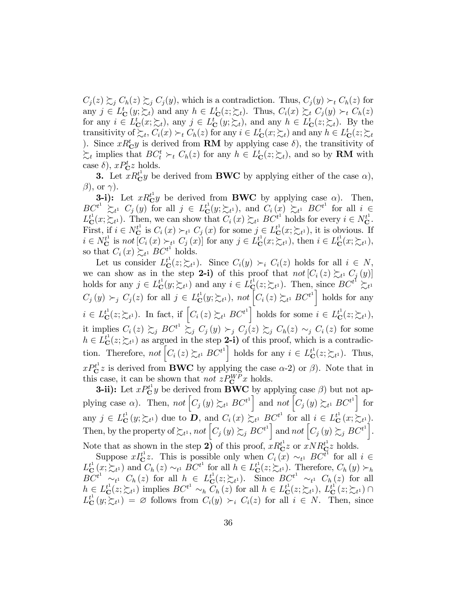$C_j(z) \succsim_j C_h(z) \succsim_j C_j(y)$ , which is a contradiction. Thus,  $C_j(y) \succ_t C_h(z)$  for any  $j \in L_{\mathbf{C}}^{t}(y; \xi_t)$  and any  $h \in L_{\mathbf{C}}^{t}(z; \xi_t)$ . Thus,  $C_i(x) \xi_t C_j(y) \succ_t C_h(z)$ for any  $i \in L^t_{\mathbf{C}}(x; \Sigma_t)$ , any  $j \in L^t_{\mathbf{C}}(y; \Sigma_t)$ , and any  $h \in L^t_{\mathbf{C}}(z; \Sigma_t)$ . By the transitivity of  $\succsim_t C_i(x) \succ_t C_h(z)$  for any  $i \in L^t_{\mathbf{C}}(x; \succsim_t)$  and any  $h \in L^t_{\mathbf{C}}(z; \succsim_t$ ). Since  $xR_{\mathbf{C}}^{t}y$  is derived from **RM** by applying case  $\delta$ , the transitivity of  $\sum_t$  implies that  $BC_t^t \succ_t C_h(z)$  for any  $h \in L^t_{\mathbf{C}}(z; \sum_t)$ , and so by **RM** with case  $\delta$ ,  $x P_{\mathbf{C}}^t z$  holds.

**3.** Let  $xR_C^{t^1}y$  be derived from **BWC** by applying either of the case  $\alpha$ ,  $\beta$ , or  $\gamma$ ).

**3-i):** Let  $xR_C^{t^1}y$  be derived from **BWC** by applying case  $\alpha$ ). Then,  $BC^{t^1} \succsim_{t^1} C_j(y)$  for all  $j \in L_{\mathbf{C}}^{t^1}(y; \succsim_{t^1})$ , and  $C_i(x) \succsim_{t^1} BC^{t^1}$  for all  $i \in$  $L_{\mathbf{C}}^{t^1}(x;\Sigma_{t^1})$ . Then, we can show that  $C_i(x) \Sigma_{t^1} BC_t^{t^1}$  holds for every  $i \in N_{\mathbf{C}}^{t^1}$ . First, if  $i \in N_{\mathbf{C}}^{t^1}$  is  $C_i(x) \succ_{t^1} C_j(x)$  for some  $j \in L_{\mathbf{C}}^{t^1}(x; \succsim_{t^1})$ , it is obvious. If  $i \in N_{\bf C}^{t^1}$  is not  $[C_i(x) \succ_{t^1} C_j(x)]$  for any  $j \in L_{\bf C}^{t^1}(x; \Sigma_{t^1})$ , then  $i \in L_{\bf C}^{t^1}(x; \Sigma_{t^1})$ , so that  $C_i(x) \succsim_{t} B C^{t^1}$  holds.

Let us consider  $L_{\mathbf{C}}^{t^1}(z;\succcurlyeq_{t^1})$ . Since  $C_i(y) \succ_i C_i(z)$  holds for all  $i \in N$ , we can show as in the step 2-i) of this proof that not  $[C_i (z) \sum_{i=1}^{\infty} C_i (y)]$ holds for any  $j \in L_{\mathbf{C}}^{t^1}(y; \xi_{t^1})$  and any  $i \in L_{\mathbf{C}}^{t^1}(z; \xi_{t^1})$ . Then, since  $BC^{t^1} \xi_{t^1}$  $C_j(y) \succ_j C_j(z)$  for all  $j \in L_{\mathbf{C}}^{t^1}(y; \Sigma_{t^1}), \text{ not } \left[ C_i(z) \succsim_{t^1} BC^{t^1} \right]$  holds for any  $i \in L_{\mathbf{C}}^{t^1}(z; \xi_{t^1})$ . In fact, if  $\left[C_i(z) \xi_{t^1} BC^{t^1}\right]$  holds for some  $i \in L_{\mathbf{C}}^{t^1}(z; \xi_{t^1}),$ it implies  $C_i(z) \succsim_j B C^{i^1} \succsim_j C_j(y) \succ_j C_j(z) \succsim_j C_h(z) \sim_j C_i(z)$  for some  $h \in L_{\mathbf{C}}^{t^1}(z; \succsim_{t^1})$  as argued in the step 2-i) of this proof, which is a contradiction. Therefore, not  $\left[C_i(z)\gtrsim_{t^1} BC^{t^1}\right]$  holds for any  $i \in L_{\mathbf{C}}^{t^1}(z;\gtrsim_{t^1})$ . Thus,  $x P_{\mathbf{C}}^{t^1} z$  is derived from **BWC** by applying the case  $\alpha$ -2) or  $\beta$ ). Note that in this case, it can be shown that *not*  $zP_{\mathbf{C}}^{WP}x$  holds.

**3-ii):** Let  $x P_C^t y$  be derived from **BWC** by applying case  $\beta$ ) but not applying case  $\alpha$ ). Then, not  $\left[C_j(y)\succsim_{t^1} BC^{t^1}\right]$  and not  $\left[C_j(y)\succsim_{t^1} BC^{t^1}\right]$  for any  $j \in L_{\mathbf{C}}^{t^1}(y; \Sigma_{t^1})$  due to  $\mathbf{D}$ , and  $C_i(x) \succsim_{t^1} BC^{t^1}$  for all  $i \in L_{\mathbf{C}}^{t^1}(x; \Sigma_{t^1})$ . Then, by the property of  $\succsim_{t} i$ , not  $\left[C_j(y) \succsim_j BC^{t^1}\right]$  and not  $\left[C_j(y) \succsim_j BC^{t^1}\right]$ . Note that as shown in the step 2) of this proof,  $xR_C^{t^1}z$  or  $xNR_C^{t^1}z$  holds.

Suppose  $xI_{\mathbf{C}}^{t^1}z$ . This is possible only when  $C_i(x) \sim_t B\mathbf{C}^{t^1}$  for all  $i \in$  $L_{\mathbf{C}}^{t^1}(x;\xi_{t^1})$  and  $C_h(z) \sim_t B C^{t^1}$  for all  $h \in L_{\mathbf{C}}^{t^1}(z;\xi_{t^1})$ . Therefore,  $C_h(y) \succ_h$  $BC^{t1} \sim_{t} C_h(z)$  for all  $h \in L_{\mathbf{C}}^{t1}(z; \mathcal{L}_{t1}).$  Since  $BC^{t1} \sim_{t} C_h(z)$  for all  $h \in L_{\mathbf{C}}^{t^1}(z; \succsim_{t^1})$  implies  $BC^{t^1} \sim_h C_h(z)$  for all  $h \in L_{\mathbf{C}}^{t^1}(z; \succsim_{t^1})$ ,  $L_{\mathbf{C}}^{t^1}(z; \succsim_{t^1}) \cap$  $L_{\mathbf{C}}^{t^1}(y;\mathbf{L}_{t^1}) = \emptyset$  follows from  $C_i(y) \succ_i C_i(z)$  for all  $i \in N$ . Then, since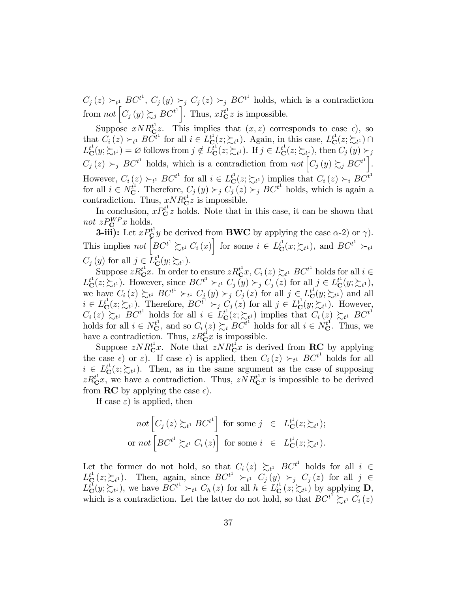$C_j(z) \succ_{t_i} B C^{t_i}, C_j(y) \succ_j C_j(z) \succ_j B C^{t_i}$  holds, which is a contradiction from not  $\left[C_j(y)\succsim_{j} BC^{t^1}\right]$ . Thus,  $xI_C^{t^1}z$  is impossible.

Suppose  $xNR_{\mathbf{C}}^{t^1}z$ . This implies that  $(x, z)$  corresponds to case  $\epsilon$ ), so that  $C_i(z) \succ_{t^1} BC^{t^1}$  for all  $i \in L_{\mathbf{C}}^{t^1}(z; \succsim_{t^1})$ . Again, in this case,  $L_{\mathbf{C}}^{t^1}(z; \succsim_{t^1}) \cap$  $L_{\mathbf{C}}^{t^1}(y;\succsim_{t^1}) = \varnothing$  follows from  $j \notin L_{\mathbf{C}}^{t^1}(z;\succsim_{t^1})$ . If  $j \in L_{\mathbf{C}}^{t^1}(z;\succsim_{t^1})$ , then  $C_j(y) \succ_j$  $C_j(z) \succ_j BC^{t^1}$  holds, which is a contradiction from not  $\left[C_j(y) \succsim_j BC^{t^1}\right]$ . However,  $C_i(z) \succ_{t^1} BC^{t^1}$  for all  $i \in L^t_{\mathbf{C}}(z; \succsim_{t^1})$  implies that  $C_i(z) \succ_i BC^{t^1}$ for all  $i \in N_{\mathbf{C}}^{t^1}$ . Therefore,  $C_j(y) \succ_j C_j(z) \succ_j BC^{t^1}$  holds, which is again a contradiction. Thus,  $xNR_C^{t^1}z$  is impossible.

In conclusion,  $x P_{\mathbf{C}}^{t^1} z$  holds. Note that in this case, it can be shown that not  $zP_{\mathbf{C}}^{WP}x$  holds.

**3-iii):** Let  $x P_{\mathbf{C}}^{t^1} y$  be derived from **BWC** by applying the case  $\alpha$ -2) or  $\gamma$ ). This implies not  $\left[ BC^{t^1} \succsim_{t^1} C_i(x) \right]$  for some  $i \in L_{\mathbf{C}}^{t^1}(x; \succsim_{t^1})$ , and  $BC^{t^1} \succ_{t^1}$  $C_j(y)$  for all  $j \in L_{\mathbf{C}}^{t^1}(y; \mathcal{Z}_{t^1}).$ 

Suppose  $zR_{\mathbf{C}}^{t^1}x$ . In order to ensure  $zR_{\mathbf{C}}^{t^1}x$ ,  $C_i(z) \succsim_{t^1} BC^{t^1}$  holds for all  $i \in$  $L_{\mathbf{C}}^{t^1}(z;\succsim_{t^1})$ . However, since  $BC^{t^1}\succ_{t^1} C_j(y)\succ_j C_j(z)$  for all  $j\in L_{\mathbf{C}}^{t^1}(y;\succsim_{t^1})$ , we have  $C_i(z) \succsim_{t} B C^{t^1} \succ_{t^1} C_j(y) \succ_j C_j(z)$  for all  $j \in L^t_{\mathbf{C}}(y; \succsim_{t^1})$  and all  $i \in L_{\mathbf{C}}^{t^1}(z; \Sigma_{t^1})$ . Therefore,  $BC^{t^1} > j C_j(z)$  for all  $j \in L_{\mathbf{C}}^{t^1}(y; \Sigma_{t^1})$ . However,  $C_i(z) \succsim_{t^1} BC^{t^1}$  holds for all  $i \in L^{\{1\}}_{\mathbf{C}}(z; \succsim_{t^1})$  implies that  $C_i(z) \succsim_{t^1} BC^{t^1}$ holds for all  $i \in N_{\mathbf{C}}^{t^1}$ , and so  $C_i(z) \succsim_i BC^{t^1}$  holds for all  $i \in N_{\mathbf{C}}^{t^1}$ . Thus, we have a contradiction. Thus,  $zR_C^{t^1}x$  is impossible.

Suppose  $zNR_{\mathbf{C}}^{t^1}x$ . Note that  $zNR_{\mathbf{C}}^{t^1}x$  is derived from **RC** by applying the case  $\epsilon$ ) or  $\varepsilon$ ). If case  $\epsilon$ ) is applied, then  $C_i(z) \succ_{t} B C^{t}$  holds for all  $i \in L_{\mathbf{C}}^{t^1}(z; \xi_{t^1})$ . Then, as in the same argument as the case of supposing  $zR_{\mathbf{C}}^{t^1}x$ , we have a contradiction. Thus,  $zNR_{\mathbf{C}}^{t^1}x$  is impossible to be derived from **RC** by applying the case  $\epsilon$ ).

If case  $\varepsilon$ ) is applied, then

$$
not \left[C_j(z) \succsim_{t^1} BC^{t^1}\right] \text{ for some } j \in L_{\mathbf{C}}^{t^1}(z; \succsim_{t^1});
$$
  
or 
$$
not \left[ BC^{t^1} \succsim_{t^1} C_i(z) \right] \text{ for some } i \in L_{\mathbf{C}}^{t^1}(z; \succsim_{t^1}).
$$

Let the former do not hold, so that  $C_i(z) \gtrsim_{t} B C^{t^1}$  holds for all  $i \in$  $L_{\mathbf{C}}^{t^1}(z;\mathbf{L}_t)$ . Then, again, since  $BC^{t^1} \succ_{t^1} C_j(y) \succ_j C_j(z)$  for all  $j \in$  $L_{\mathbf{C}}^{t^1}(y;\succcurlyeq_{t^1}),$  we have  $BC^{t^1}\succ_{t^1} C_h(z)$  for all  $h\in L_{\mathbf{C}}^{t^1}(z;\succcurlyeq_{t^1})$  by applying  $\mathbf{D},$ which is a contradiction. Let the latter do not hold, so that  $BC^{t^1} \succsim_{t^1} C_i(z)$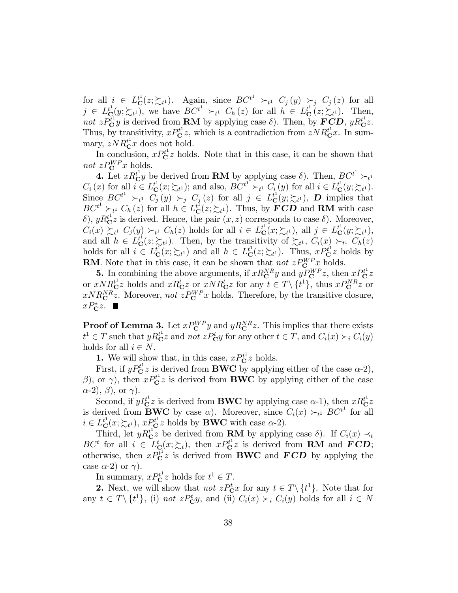for all  $i \in L^{\{1\}}_{\mathbf{C}}(z;\succsim_{t^{1}})$ . Again, since  $BC^{t^{1}} \succ_{t^{1}} C_{j}(y) \succsim_{j} C_{j}(z)$  for all  $j \in L_{\mathbf{C}}^{t^1}(y;\xi_{t^1}),$  we have  $BC^{t^1} \succ_{t^1} C_h(z)$  for all  $h \in L_{\mathbf{C}}^{t^1}(z;\xi_{t^1}).$  Then, not  $zP_{\mathbf{C}}^{t^1}y$  is derived from **RM** by applying case  $\delta$ ). Then, by  $\mathbf{FCD}$ ,  $yR_{\mathbf{C}}^{t^1}z$ . Thus, by transitivity,  $x P_{\mathbf{C}}^{t^1} z$ , which is a contradiction from  $z N R_{\mathbf{C}}^{t^1} x$ . In summary,  $zNR_C^{t^1}x$  does not hold.

In conclusion,  $x P_{\mathbf{C}}^{t^1} z$  holds. Note that in this case, it can be shown that not  $zP_{\mathbf{C}}^{WP}x$  holds.

**4.** Let  $xR_C^{t^1}y$  be derived from **RM** by applying case  $\delta$ ). Then,  $BC^{t^1}$ 4. Let  $xR_Cy$  be derived from **KM** by applying case  $o$ ). Then,  $BC \geq t_1$ <br>  $C_i(x)$  for all  $i \in L_C^t(x; \xi_t)$ ; and also,  $BC^{t^1} \succ_{t^1} C_i(y)$  for all  $i \in L_C^t(y; \xi_t)$ . Since  $BC^{t^1} \succ_{t^1} C_j(y) \succ_j C_j(z)$  for all  $j \in L_{\mathbf{C}}^{t^1}(y; \succcurlyeq_{t^1}),$  D implies that  $BC^{t^1} \succeq_{t^1} C_h(z)$  for all  $h \in L_{\mathbf{C}}^{t^1}(z; \succsim_{t^1})$ . Thus, by  $\mathbf{FCD}$  and **RM** with case  $\delta$ ,  $yR_C^{t^1}z$  is derived. Hence, the pair  $(x, z)$  corresponds to case  $\delta$ ). Moreover,  $C_i(x) \succsim_{t^1} C_j(y) \succ_{t^1} C_h(z)$  holds for all  $i \in L_{\mathbf{C}}^{t^1}(x; \succsim_{t^1})$ , all  $j \in L_{\mathbf{C}}^{t^1}(y; \succsim_{t^1})$ , and all  $h \in L_{\mathbf{C}}^{t_1}(z; \sum_{t}^{t_1})$ . Then, by the transitivity of  $\sum_{t_1}^{t_1} C_i(x) \succ_{t_1}^{\cdot} C_h(z)$ holds for all  $i \in L_{\mathbf{C}}^{t^1}(x; \xi_{t^1})$  and all  $h \in L_{\mathbf{C}}^{t^1}(z; \xi_{t^1})$ . Thus,  $x P_{\mathbf{C}}^{t^1} z$  holds by **RM**. Note that in this case, it can be shown that not  $zP_C^{WP}x$  holds.

**5.** In combining the above arguments, if  $xR_C^{NR}y$  and  $yP_C^{WP}z$ , then  $xP_C^{t^1}z$ or  $xNR_{\mathbf{C}}^{t^1}z$  holds and  $xR_{\mathbf{C}}^t z$  or  $xNR_{\mathbf{C}}^t z$  for any  $t \in T \setminus \{t^1\}$ , thus  $xP_{\mathbf{C}}^{NR}z$  or  $xNR_{\mathbf{C}}^{NR}z$ . Moreover, not  $zP_{\mathbf{C}}^{WP}x$  holds. Therefore, by the transitive closure,  $xP_{\mathbf{C}}^*z$ .

**Proof of Lemma 3.** Let  $x P_{\mathbf{C}}^{WP} y$  and  $y R_{\mathbf{C}}^{NR} z$ . This implies that there exists  $t^1 \in T$  such that  $yR_C^{t^1}z$  and not  $zP_C^{t}y$  for any other  $t \in T$ , and  $C_i(x) \succ_i C_i(y)$ holds for all  $i \in N$ .

**1.** We will show that, in this case,  $x P_{\mathbf{C}}^{t^1} z$  holds.

First, if  $yP_{\mathbf{C}}^{t^1}z$  is derived from **BWC** by applying either of the case  $\alpha$ -2),  $\beta$ , or  $\gamma$ , then  $xP_{\mathbf{C}}^{t^1}z$  is derived from **BWC** by applying either of the case  $(\alpha-2), \beta), \text{ or } \gamma).$ 

Second, if  $yI_{\mathbf{C}}^{t^1}z$  is derived from **BWC** by applying case  $\alpha$ -1), then  $xR_{\mathbf{C}}^{t^1}z$ is derived from **BWC** by case  $\alpha$ ). Moreover, since  $C_i(x) \succ_{t} B C^{t}$  for all  $i \in L_{\mathbf{C}}^{t^1}(x; \succsim_{t^1})$ ,  $x P_{\mathbf{C}}^{t^1} z$  holds by **BWC** with case  $\alpha$ -2).

Third, let  $yR_C^{t^1}z$  be derived from **RM** by applying case  $\delta$ ). If  $C_i(x) \prec_t$  $BC^t$  for all  $i \in L^t_{\mathbf{C}}(x; \xi_t)$ , then  $xP^{t^1}_{\mathbf{C}}z$  is derived from **RM** and  $\mathbf{FCD}$ ; otherwise, then  $x P_{\mathbf{C}}^{i_1} z$  is derived from **BWC** and **FCD** by applying the case  $\alpha$ -2) or  $\gamma$ ).

In summary,  $x P_{\mathbf{C}}^{t^1} z$  holds for  $t^1 \in T$ .

**2.** Next, we will show that *not*  $zP_{\mathbf{C}}^t x$  for any  $t \in T \setminus \{t^1\}$ . Note that for any  $t \in T \setminus \{t^1\},$  (i) not  $zP_{\mathbf{C}}^t y$ , and (ii)  $C_i(x) \succ_i C_i(y)$  holds for all  $i \in N$